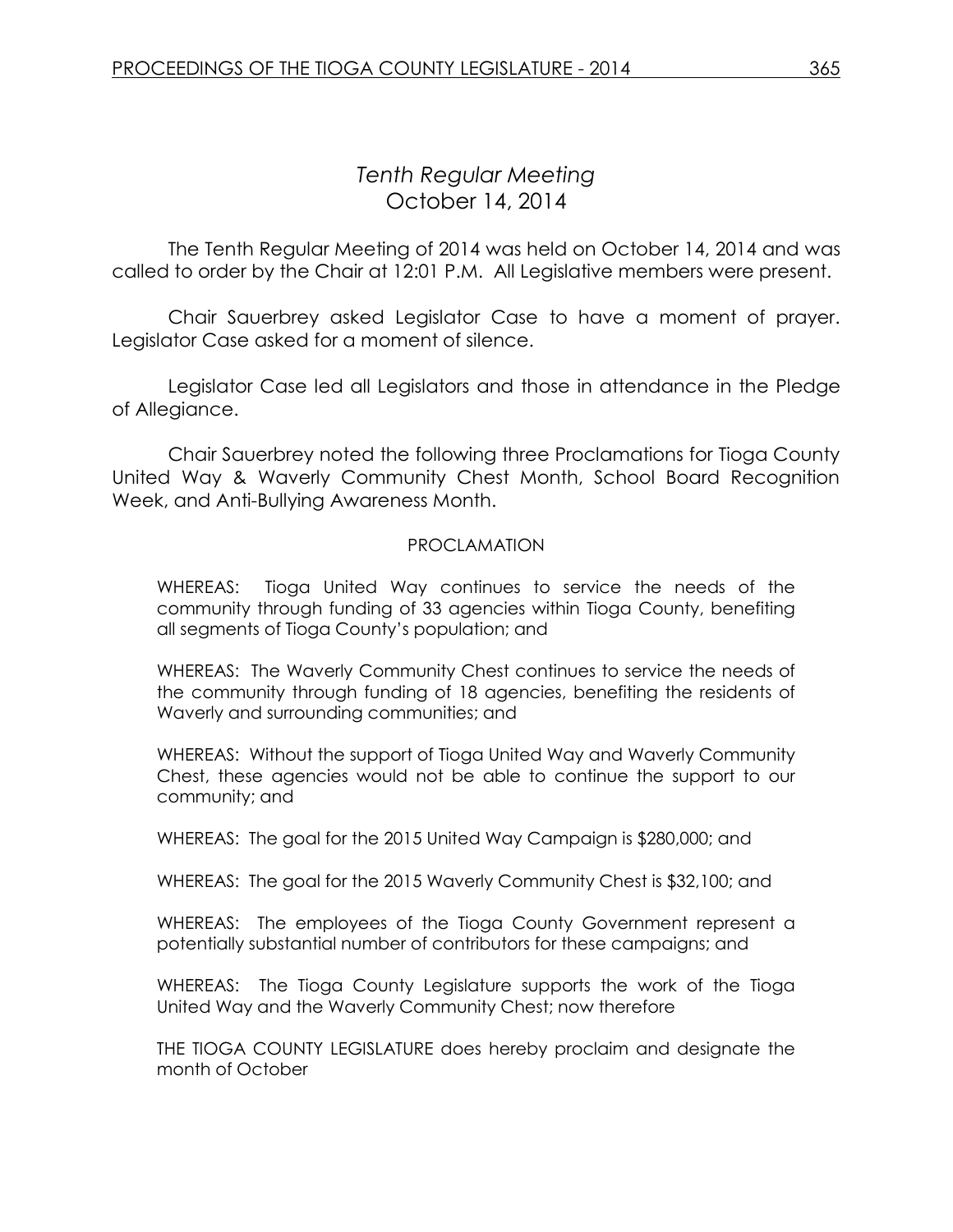# *Tenth Regular Meeting* October 14, 2014

The Tenth Regular Meeting of 2014 was held on October 14, 2014 and was called to order by the Chair at 12:01 P.M. All Legislative members were present.

Chair Sauerbrey asked Legislator Case to have a moment of prayer. Legislator Case asked for a moment of silence.

Legislator Case led all Legislators and those in attendance in the Pledge of Allegiance.

Chair Sauerbrey noted the following three Proclamations for Tioga County United Way & Waverly Community Chest Month, School Board Recognition Week, and Anti-Bullying Awareness Month.

#### PROCLAMATION

WHEREAS: Tioga United Way continues to service the needs of the community through funding of 33 agencies within Tioga County, benefiting all segments of Tioga County's population; and

WHEREAS: The Waverly Community Chest continues to service the needs of the community through funding of 18 agencies, benefiting the residents of Waverly and surrounding communities; and

WHEREAS: Without the support of Tioga United Way and Waverly Community Chest, these agencies would not be able to continue the support to our community; and

WHEREAS: The goal for the 2015 United Way Campaign is \$280,000; and

WHEREAS: The goal for the 2015 Waverly Community Chest is \$32,100; and

WHEREAS: The employees of the Tioga County Government represent a potentially substantial number of contributors for these campaigns; and

WHEREAS: The Tioga County Legislature supports the work of the Tioga United Way and the Waverly Community Chest; now therefore

THE TIOGA COUNTY LEGISLATURE does hereby proclaim and designate the month of October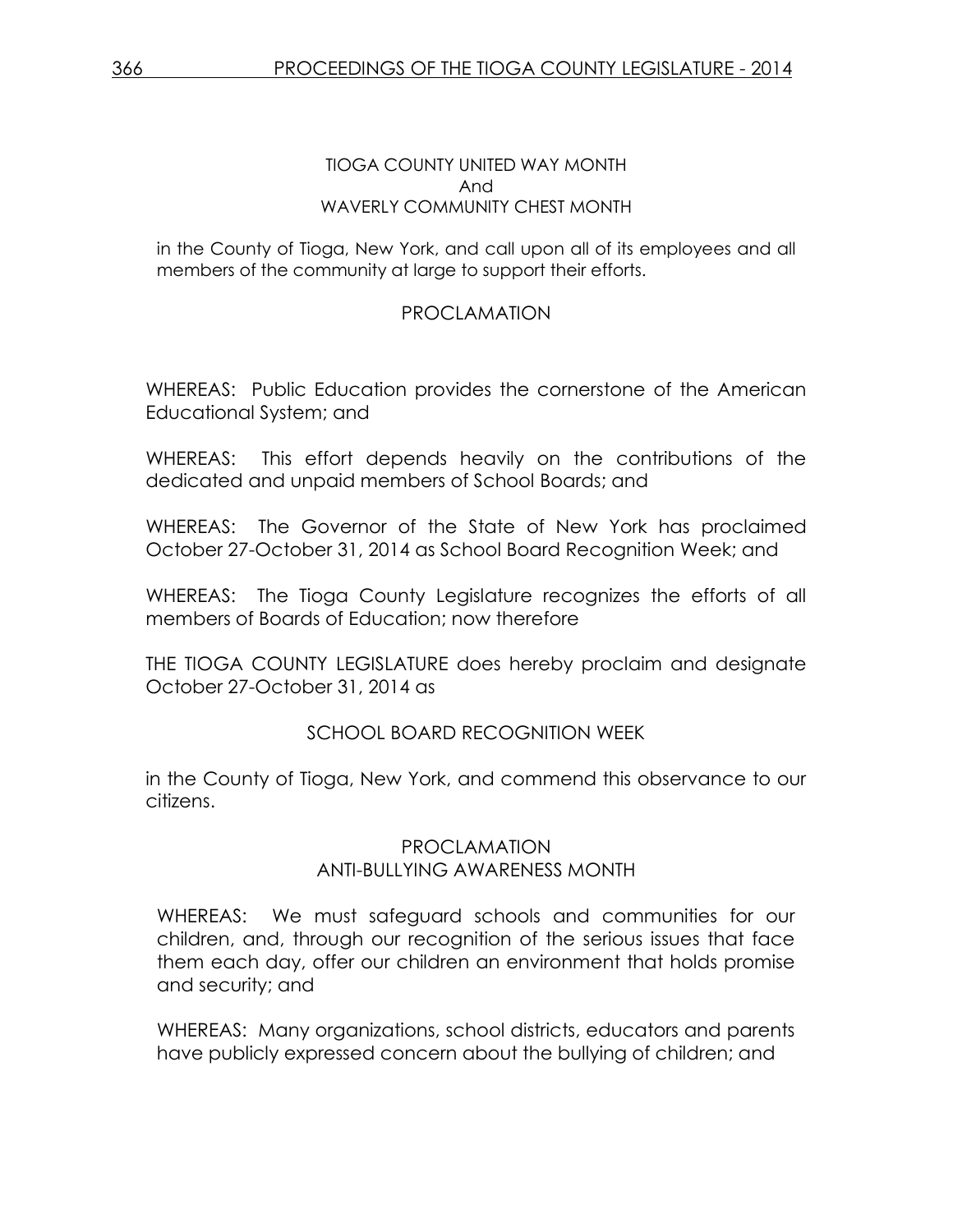#### TIOGA COUNTY UNITED WAY MONTH And WAVERLY COMMUNITY CHEST MONTH

in the County of Tioga, New York, and call upon all of its employees and all members of the community at large to support their efforts.

# PROCLAMATION

WHEREAS: Public Education provides the cornerstone of the American Educational System; and

WHEREAS: This effort depends heavily on the contributions of the dedicated and unpaid members of School Boards; and

WHEREAS: The Governor of the State of New York has proclaimed October 27-October 31, 2014 as School Board Recognition Week; and

WHEREAS: The Tioga County Legislature recognizes the efforts of all members of Boards of Education; now therefore

THE TIOGA COUNTY LEGISLATURE does hereby proclaim and designate October 27-October 31, 2014 as

# SCHOOL BOARD RECOGNITION WEEK

in the County of Tioga, New York, and commend this observance to our citizens.

# PROCLAMATION ANTI-BULLYING AWARENESS MONTH

WHEREAS: We must safeguard schools and communities for our children, and, through our recognition of the serious issues that face them each day, offer our children an environment that holds promise and security; and

WHEREAS: Many organizations, school districts, educators and parents have publicly expressed concern about the bullying of children; and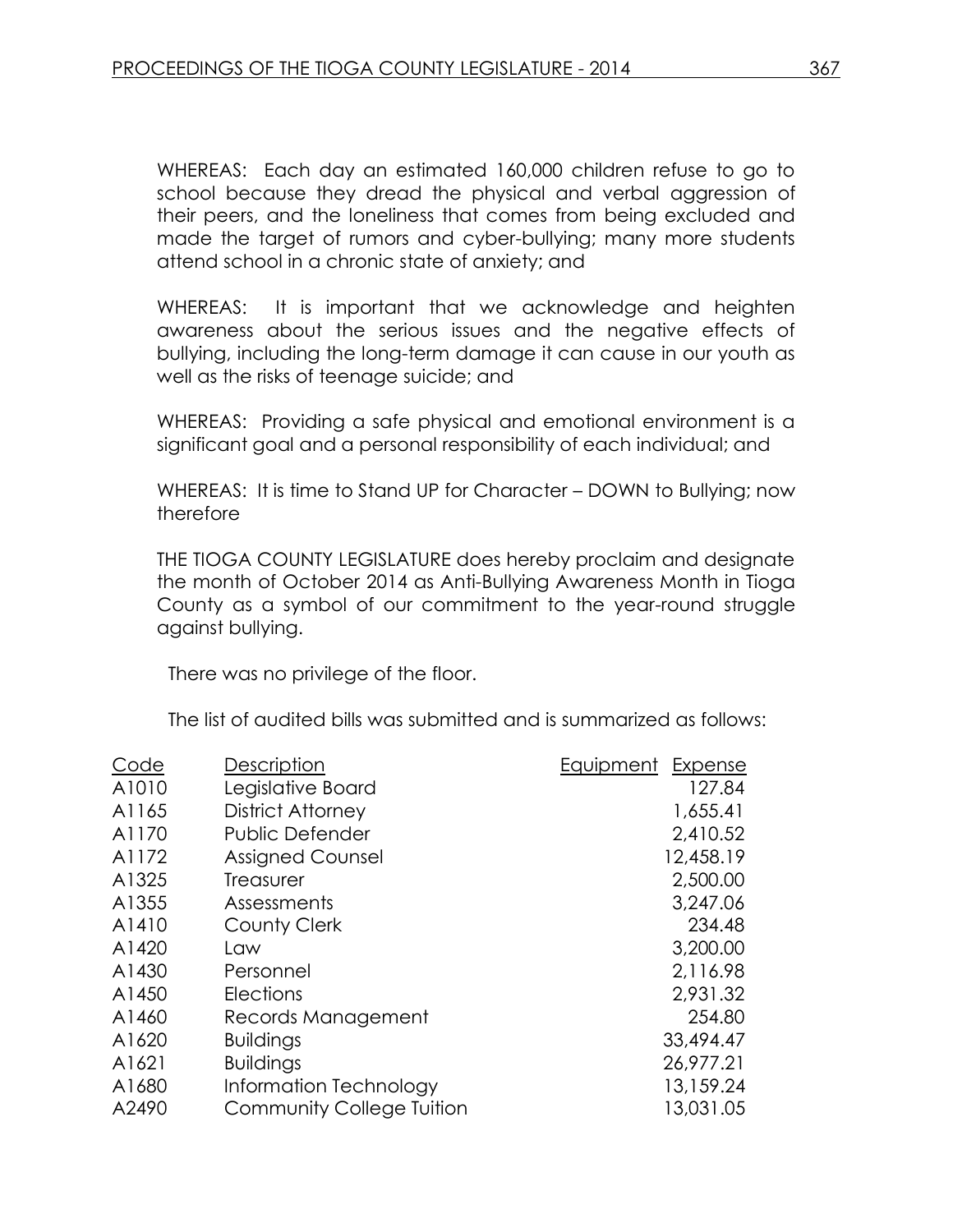WHEREAS: Each day an estimated 160,000 children refuse to go to school because they dread the physical and verbal aggression of their peers, and the loneliness that comes from being excluded and made the target of rumors and cyber-bullying; many more students attend school in a chronic state of anxiety; and

WHEREAS: It is important that we acknowledge and heighten awareness about the serious issues and the negative effects of bullying, including the long-term damage it can cause in our youth as well as the risks of teenage suicide; and

WHEREAS: Providing a safe physical and emotional environment is a significant goal and a personal responsibility of each individual; and

WHEREAS: It is time to Stand UP for Character – DOWN to Bullying; now therefore

THE TIOGA COUNTY LEGISLATURE does hereby proclaim and designate the month of October 2014 as Anti-Bullying Awareness Month in Tioga County as a symbol of our commitment to the year-round struggle against bullying.

There was no privilege of the floor.

The list of audited bills was submitted and is summarized as follows:

| Description                      | Equipment<br>Expense |
|----------------------------------|----------------------|
| Legislative Board                | 127.84               |
| <b>District Attorney</b>         | 1,655.41             |
| Public Defender                  | 2,410.52             |
| <b>Assigned Counsel</b>          | 12,458.19            |
| Treasurer                        | 2,500.00             |
| Assessments                      | 3,247.06             |
| County Clerk                     | 234.48               |
| Law                              | 3,200.00             |
| Personnel                        | 2,116.98             |
| <b>Elections</b>                 | 2,931.32             |
| Records Management               | 254.80               |
| <b>Buildings</b>                 | 33,494.47            |
| <b>Buildings</b>                 | 26,977.21            |
| Information Technology           | 13,159.24            |
| <b>Community College Tuition</b> | 13,031.05            |
|                                  |                      |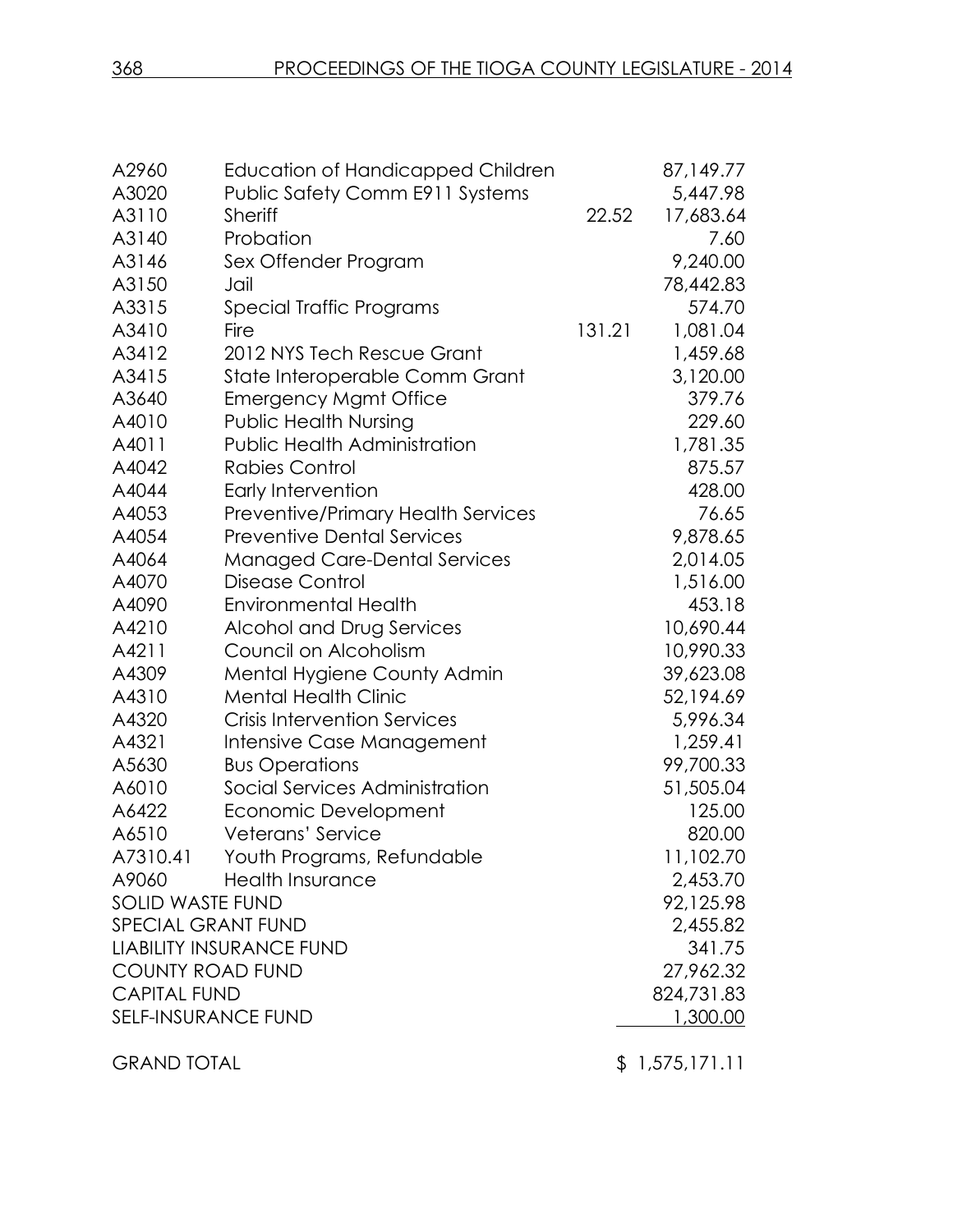| A2960                      | Education of Handicapped Children         |        | 87,149.77  |
|----------------------------|-------------------------------------------|--------|------------|
| A3020                      | <b>Public Safety Comm E911 Systems</b>    |        | 5,447.98   |
| A3110                      | <b>Sheriff</b>                            | 22.52  | 17,683.64  |
| A3140                      | Probation                                 |        | 7.60       |
| A3146                      | Sex Offender Program                      |        | 9,240.00   |
| A3150                      | Jail                                      |        | 78,442.83  |
| A3315                      | Special Traffic Programs                  |        | 574.70     |
| A3410                      | Fire                                      | 131.21 | 1,081.04   |
| A3412                      | 2012 NYS Tech Rescue Grant                |        | 1,459.68   |
| A3415                      | State Interoperable Comm Grant            |        | 3,120.00   |
| A3640                      | <b>Emergency Mgmt Office</b>              |        | 379.76     |
| A4010                      | <b>Public Health Nursing</b>              |        | 229.60     |
| A4011                      | <b>Public Health Administration</b>       |        | 1,781.35   |
| A4042                      | <b>Rabies Control</b>                     |        | 875.57     |
| A4044                      | Early Intervention                        |        | 428.00     |
| A4053                      | <b>Preventive/Primary Health Services</b> |        | 76.65      |
| A4054                      | <b>Preventive Dental Services</b>         |        | 9,878.65   |
| A4064                      | <b>Managed Care-Dental Services</b>       |        | 2,014.05   |
| A4070                      | Disease Control                           |        | 1,516.00   |
| A4090                      | <b>Environmental Health</b>               |        | 453.18     |
| A4210                      | Alcohol and Drug Services                 |        | 10,690.44  |
| A4211                      | Council on Alcoholism                     |        | 10,990.33  |
| A4309                      | Mental Hygiene County Admin               |        | 39,623.08  |
| A4310                      | <b>Mental Health Clinic</b>               |        | 52,194.69  |
| A4320                      | <b>Crisis Intervention Services</b>       |        | 5,996.34   |
| A4321                      | Intensive Case Management                 |        | 1,259.41   |
| A5630                      | <b>Bus Operations</b>                     |        | 99,700.33  |
| A6010                      | Social Services Administration            |        | 51,505.04  |
| A6422                      | Economic Development                      |        | 125.00     |
| A6510                      | Veterans' Service                         |        | 820.00     |
| A7310.41                   | Youth Programs, Refundable                |        | 11,102.70  |
| A9060                      | <b>Health Insurance</b>                   |        | 2,453.70   |
| <b>SOLID WASTE FUND</b>    |                                           |        | 92,125.98  |
| <b>SPECIAL GRANT FUND</b>  |                                           |        | 2,455.82   |
|                            | <b>LIABILITY INSURANCE FUND</b>           |        | 341.75     |
| <b>COUNTY ROAD FUND</b>    |                                           |        | 27,962.32  |
| <b>CAPITAL FUND</b>        |                                           |        | 824,731.83 |
| <b>SELF-INSURANCE FUND</b> |                                           |        | 1,300.00   |
|                            |                                           |        |            |

GRAND TOTAL \$ 1,575,171.11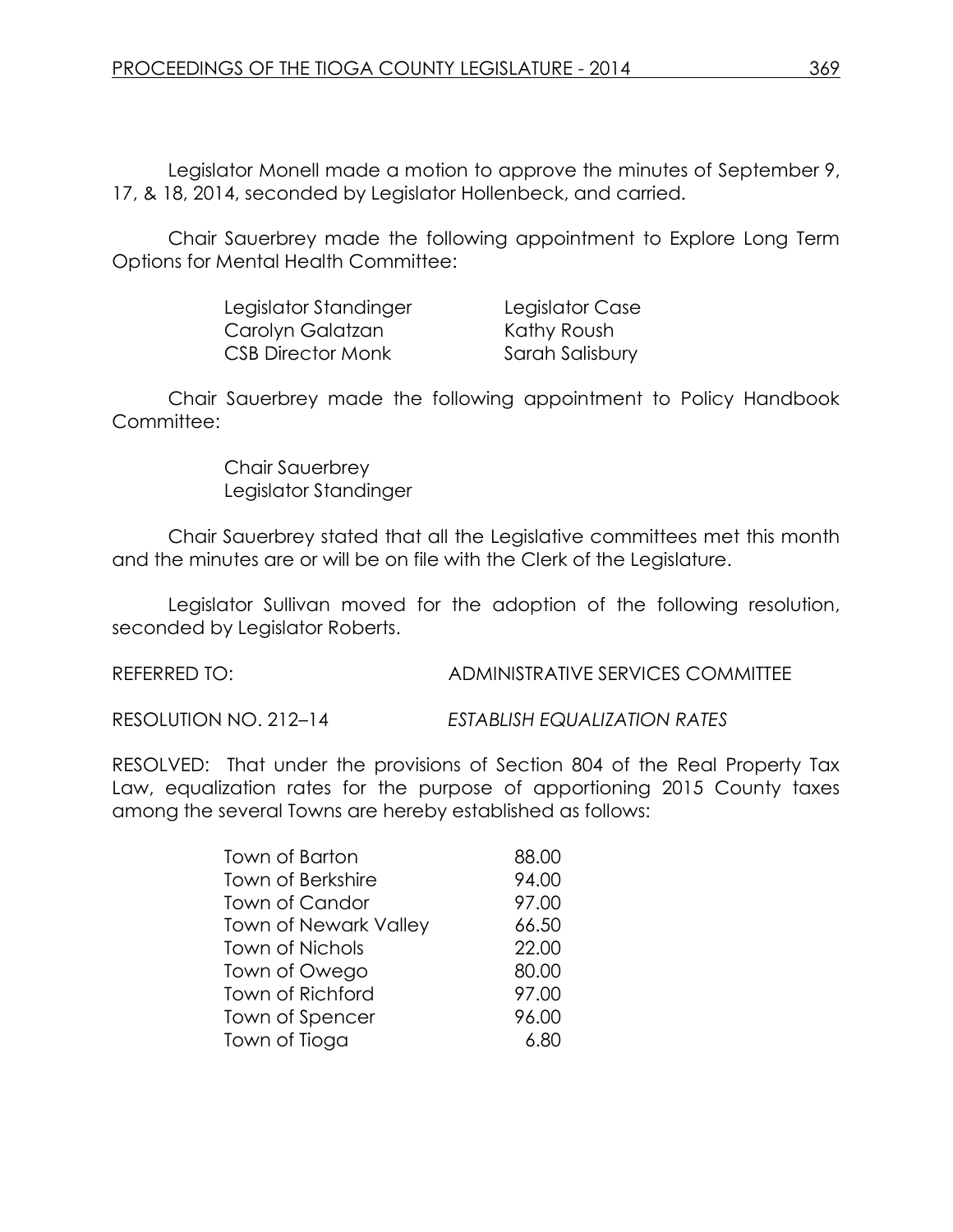Legislator Monell made a motion to approve the minutes of September 9, 17, & 18, 2014, seconded by Legislator Hollenbeck, and carried.

Chair Sauerbrey made the following appointment to Explore Long Term Options for Mental Health Committee:

| Legislator Standinger | Legislator Case |
|-----------------------|-----------------|
| Carolyn Galatzan      | Kathy Roush     |
| CSB Director Monk     | Sarah Salisbury |

Chair Sauerbrey made the following appointment to Policy Handbook Committee:

> Chair Sauerbrey Legislator Standinger

Chair Sauerbrey stated that all the Legislative committees met this month and the minutes are or will be on file with the Clerk of the Legislature.

Legislator Sullivan moved for the adoption of the following resolution, seconded by Legislator Roberts.

REFERRED TO: ADMINISTRATIVE SERVICES COMMITTEE

RESOLUTION NO. 212–14 *ESTABLISH EQUALIZATION RATES*

RESOLVED: That under the provisions of Section 804 of the Real Property Tax Law, equalization rates for the purpose of apportioning 2015 County taxes among the several Towns are hereby established as follows:

| <b>Town of Barton</b>        | 88.00 |
|------------------------------|-------|
| <b>Town of Berkshire</b>     | 94.00 |
| <b>Town of Candor</b>        | 97.00 |
| <b>Town of Newark Valley</b> | 66.50 |
| <b>Town of Nichols</b>       | 22.00 |
| Town of Owego                | 80.00 |
| Town of Richford             | 97.00 |
| Town of Spencer              | 96.00 |
| Town of Tioga                | 6.80  |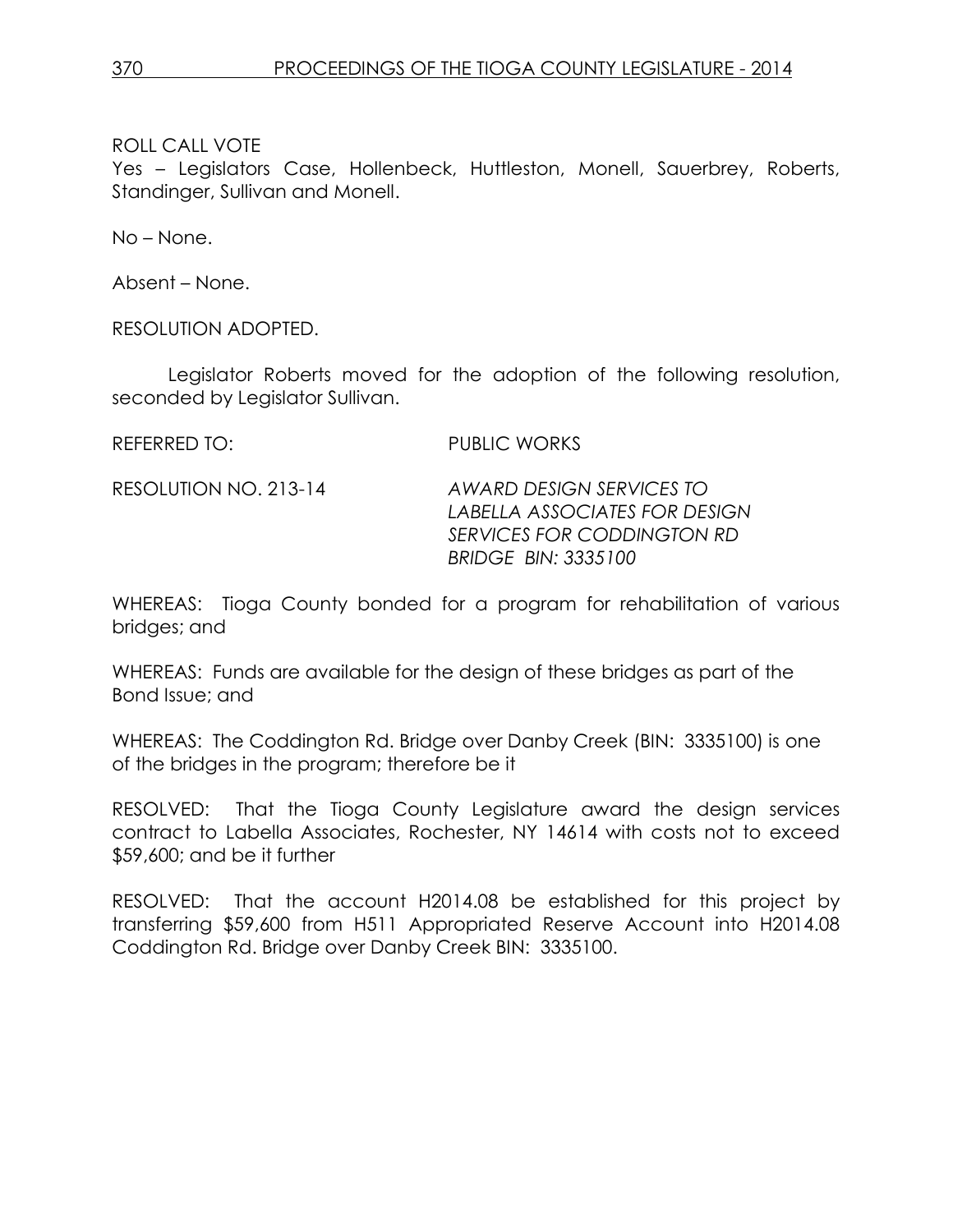Yes – Legislators Case, Hollenbeck, Huttleston, Monell, Sauerbrey, Roberts, Standinger, Sullivan and Monell.

No – None.

Absent – None.

RESOLUTION ADOPTED.

Legislator Roberts moved for the adoption of the following resolution, seconded by Legislator Sullivan.

REFERRED TO: PUBLIC WORKS

RESOLUTION NO. 213-14 *AWARD DESIGN SERVICES TO LABELLA ASSOCIATES FOR DESIGN SERVICES FOR CODDINGTON RD BRIDGE BIN: 3335100*

WHEREAS: Tioga County bonded for a program for rehabilitation of various bridges; and

WHEREAS: Funds are available for the design of these bridges as part of the Bond Issue; and

WHEREAS: The Coddington Rd. Bridge over Danby Creek (BIN: 3335100) is one of the bridges in the program; therefore be it

RESOLVED: That the Tioga County Legislature award the design services contract to Labella Associates, Rochester, NY 14614 with costs not to exceed \$59,600; and be it further

RESOLVED: That the account H2014.08 be established for this project by transferring \$59,600 from H511 Appropriated Reserve Account into H2014.08 Coddington Rd. Bridge over Danby Creek BIN: 3335100.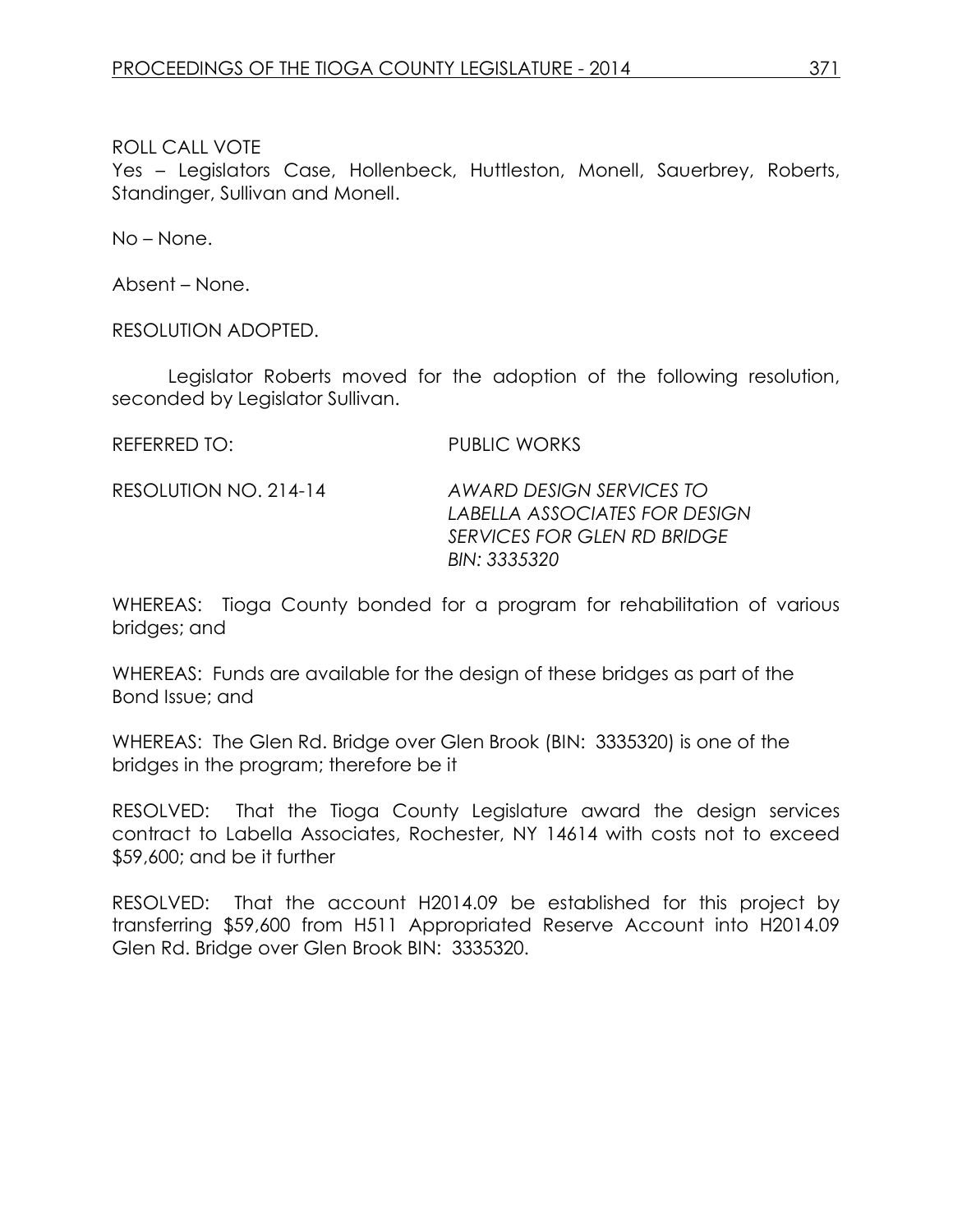Yes – Legislators Case, Hollenbeck, Huttleston, Monell, Sauerbrey, Roberts, Standinger, Sullivan and Monell.

No – None.

Absent – None.

RESOLUTION ADOPTED.

Legislator Roberts moved for the adoption of the following resolution, seconded by Legislator Sullivan.

REFERRED TO: PUBLIC WORKS

RESOLUTION NO. 214-14 *AWARD DESIGN SERVICES TO LABELLA ASSOCIATES FOR DESIGN SERVICES FOR GLEN RD BRIDGE BIN: 3335320*

WHEREAS: Tioga County bonded for a program for rehabilitation of various bridges; and

WHEREAS: Funds are available for the design of these bridges as part of the Bond Issue; and

WHEREAS: The Glen Rd. Bridge over Glen Brook (BIN: 3335320) is one of the bridges in the program; therefore be it

RESOLVED: That the Tioga County Legislature award the design services contract to Labella Associates, Rochester, NY 14614 with costs not to exceed \$59,600; and be it further

RESOLVED: That the account H2014.09 be established for this project by transferring \$59,600 from H511 Appropriated Reserve Account into H2014.09 Glen Rd. Bridge over Glen Brook BIN: 3335320.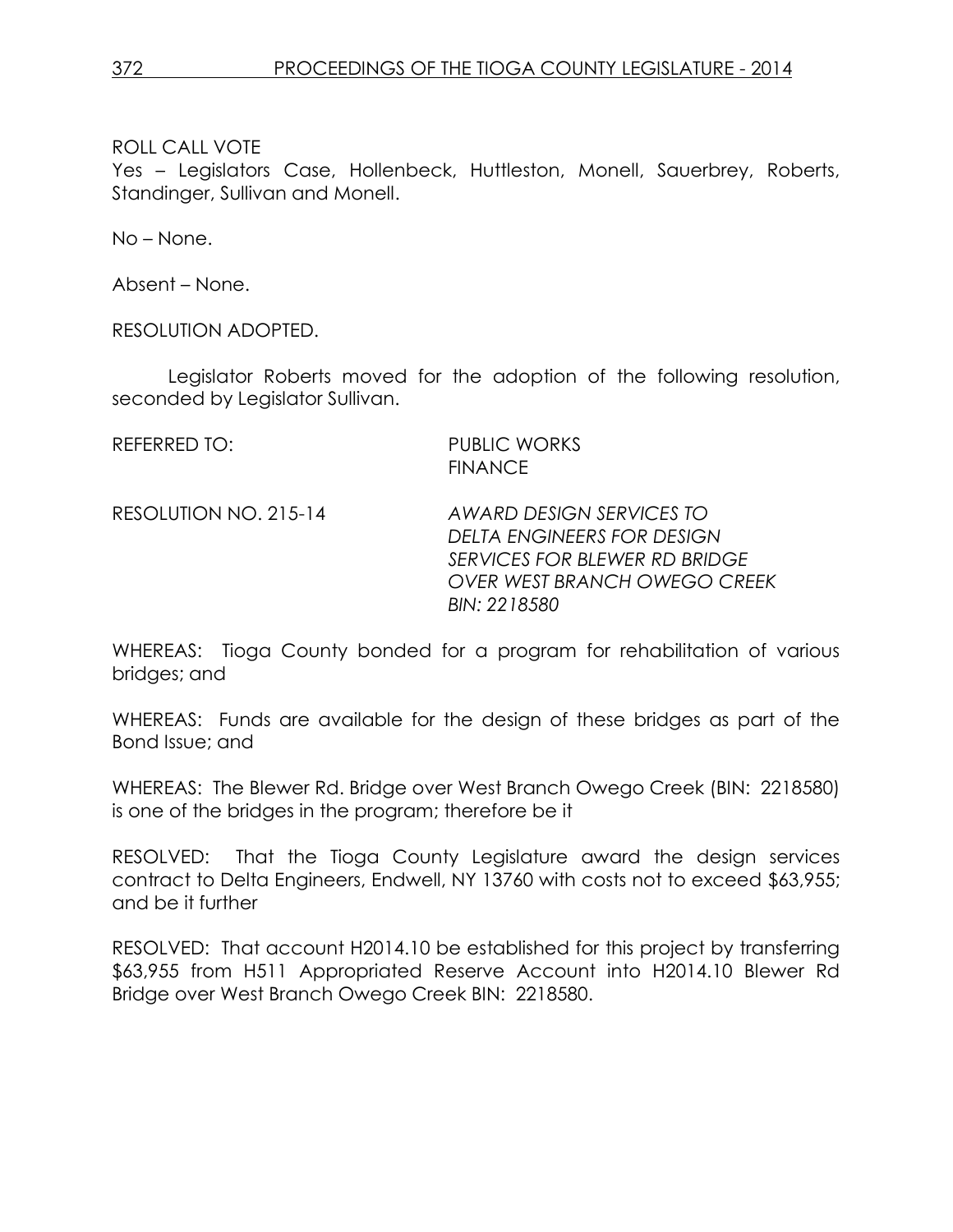Yes – Legislators Case, Hollenbeck, Huttleston, Monell, Sauerbrey, Roberts, Standinger, Sullivan and Monell.

No – None.

Absent – None.

RESOLUTION ADOPTED.

Legislator Roberts moved for the adoption of the following resolution, seconded by Legislator Sullivan.

REFERRED TO: PUBLIC WORKS FINANCE

RESOLUTION NO. 215-14 *AWARD DESIGN SERVICES TO DELTA ENGINEERS FOR DESIGN SERVICES FOR BLEWER RD BRIDGE OVER WEST BRANCH OWEGO CREEK BIN: 2218580*

WHEREAS: Tioga County bonded for a program for rehabilitation of various bridges; and

WHEREAS: Funds are available for the design of these bridges as part of the Bond Issue; and

WHEREAS: The Blewer Rd. Bridge over West Branch Owego Creek (BIN: 2218580) is one of the bridges in the program; therefore be it

RESOLVED: That the Tioga County Legislature award the design services contract to Delta Engineers, Endwell, NY 13760 with costs not to exceed \$63,955; and be it further

RESOLVED: That account H2014.10 be established for this project by transferring \$63,955 from H511 Appropriated Reserve Account into H2014.10 Blewer Rd Bridge over West Branch Owego Creek BIN: 2218580.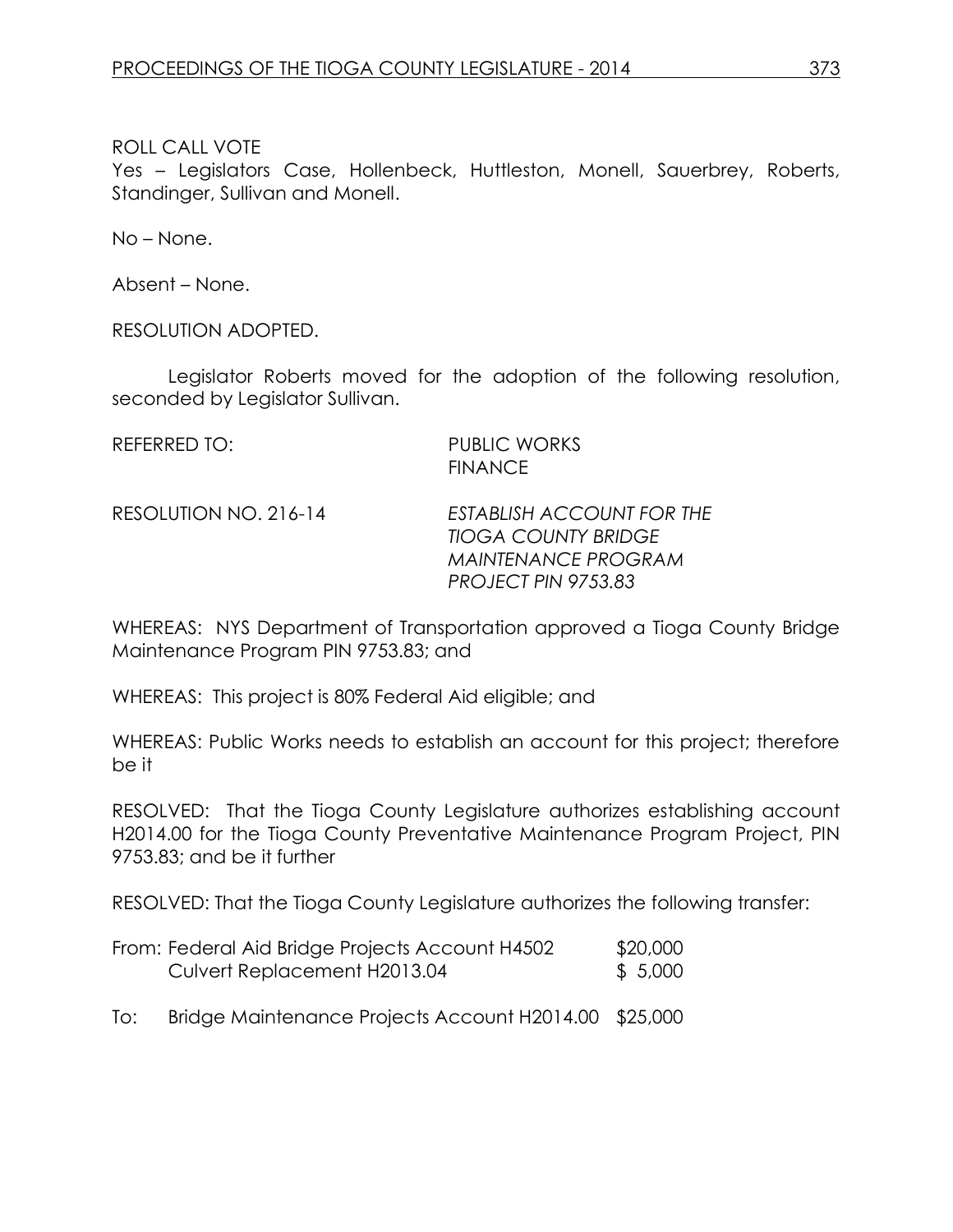Yes – Legislators Case, Hollenbeck, Huttleston, Monell, Sauerbrey, Roberts, Standinger, Sullivan and Monell.

No – None.

Absent – None.

RESOLUTION ADOPTED.

Legislator Roberts moved for the adoption of the following resolution, seconded by Legislator Sullivan.

REFERRED TO: PUBLIC WORKS FINANCE

RESOLUTION NO. 216-14 *ESTABLISH ACCOUNT FOR THE TIOGA COUNTY BRIDGE MAINTENANCE PROGRAM PROJECT PIN 9753.83*

WHEREAS: NYS Department of Transportation approved a Tioga County Bridge Maintenance Program PIN 9753.83; and

WHEREAS: This project is 80% Federal Aid eligible; and

WHEREAS: Public Works needs to establish an account for this project; therefore be it

RESOLVED: That the Tioga County Legislature authorizes establishing account H2014.00 for the Tioga County Preventative Maintenance Program Project, PIN 9753.83; and be it further

RESOLVED: That the Tioga County Legislature authorizes the following transfer:

| From: Federal Aid Bridge Projects Account H4502 | \$20,000 |
|-------------------------------------------------|----------|
| Culvert Replacement H2013.04                    | \$5,000  |

To: Bridge Maintenance Projects Account H2014.00 \$25,000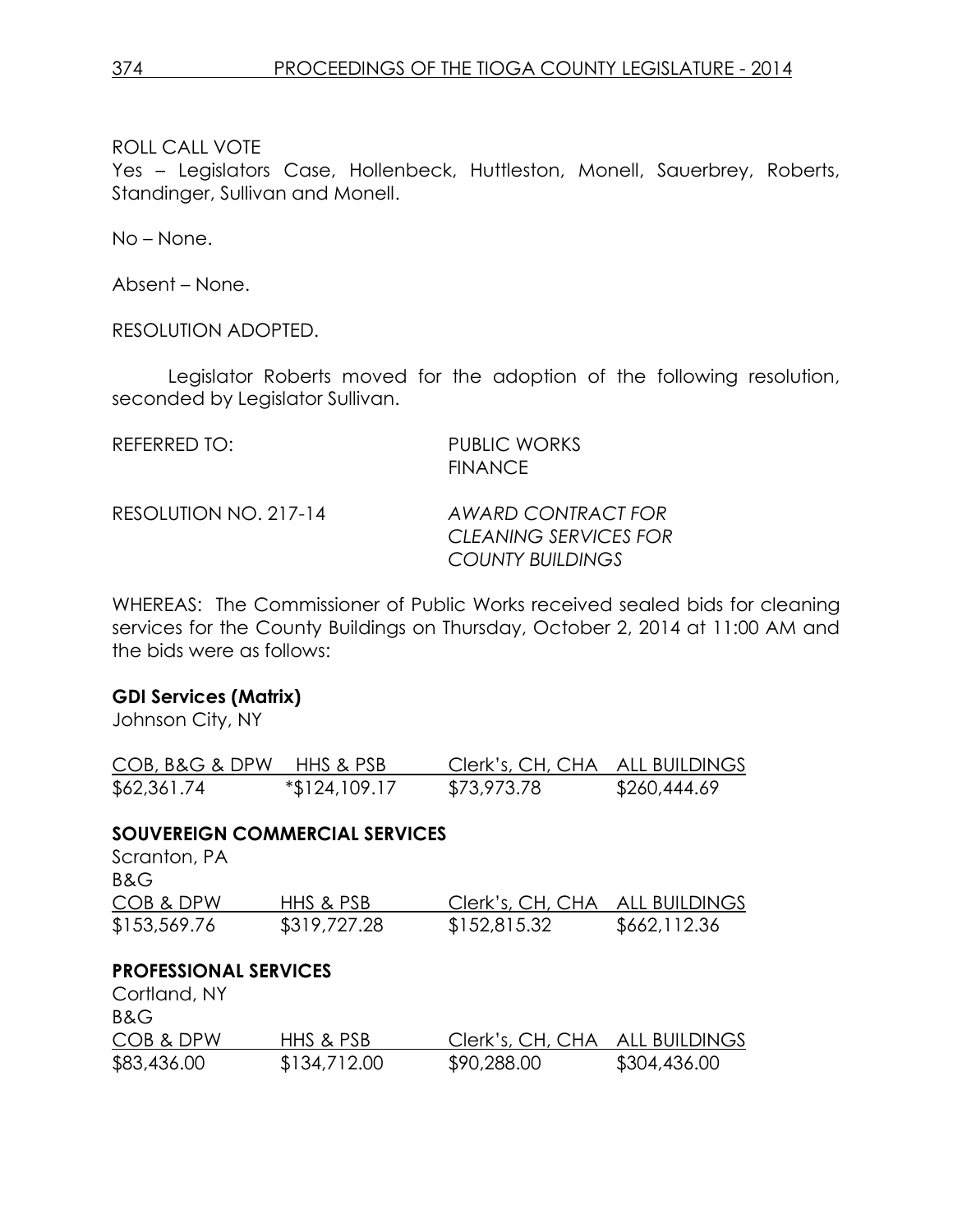Yes – Legislators Case, Hollenbeck, Huttleston, Monell, Sauerbrey, Roberts, Standinger, Sullivan and Monell.

No – None.

Absent – None.

RESOLUTION ADOPTED.

Legislator Roberts moved for the adoption of the following resolution, seconded by Legislator Sullivan.

| REFERRED TO:          | <b>PUBLIC WORKS</b><br><b>FINANCE</b>                                  |
|-----------------------|------------------------------------------------------------------------|
| RESOLUTION NO. 217-14 | AWARD CONTRACT FOR<br>CLEANING SERVICES FOR<br><b>COUNTY BUILDINGS</b> |

WHEREAS: The Commissioner of Public Works received sealed bids for cleaning services for the County Buildings on Thursday, October 2, 2014 at 11:00 AM and the bids were as follows:

# **GDI Services (Matrix)**

Johnson City, NY

| COB, B&G & DPW HHS & PSB |               | Clerk's, CH, CHA ALL BUILDINGS |              |
|--------------------------|---------------|--------------------------------|--------------|
| \$62,361.74              | *\$124,109.17 | \$73,973.78                    | \$260,444.69 |

# **SOUVEREIGN COMMERCIAL SERVICES**

| Scranton, PA |              |                                |              |
|--------------|--------------|--------------------------------|--------------|
| B&G          |              |                                |              |
| COB & DPW    | HHS & PSB    | Clerk's, CH, CHA ALL BUILDINGS |              |
| \$153,569.76 | \$319,727.28 | \$152,815.32                   | \$662,112.36 |

# **PROFESSIONAL SERVICES**

| Cortland, NY<br>B&G |              |                                |              |
|---------------------|--------------|--------------------------------|--------------|
| COB & DPW           | HHS & PSB    | Clerk's, CH, CHA ALL BUILDINGS |              |
| \$83,436.00         | \$134,712.00 | \$90,288.00                    | \$304,436.00 |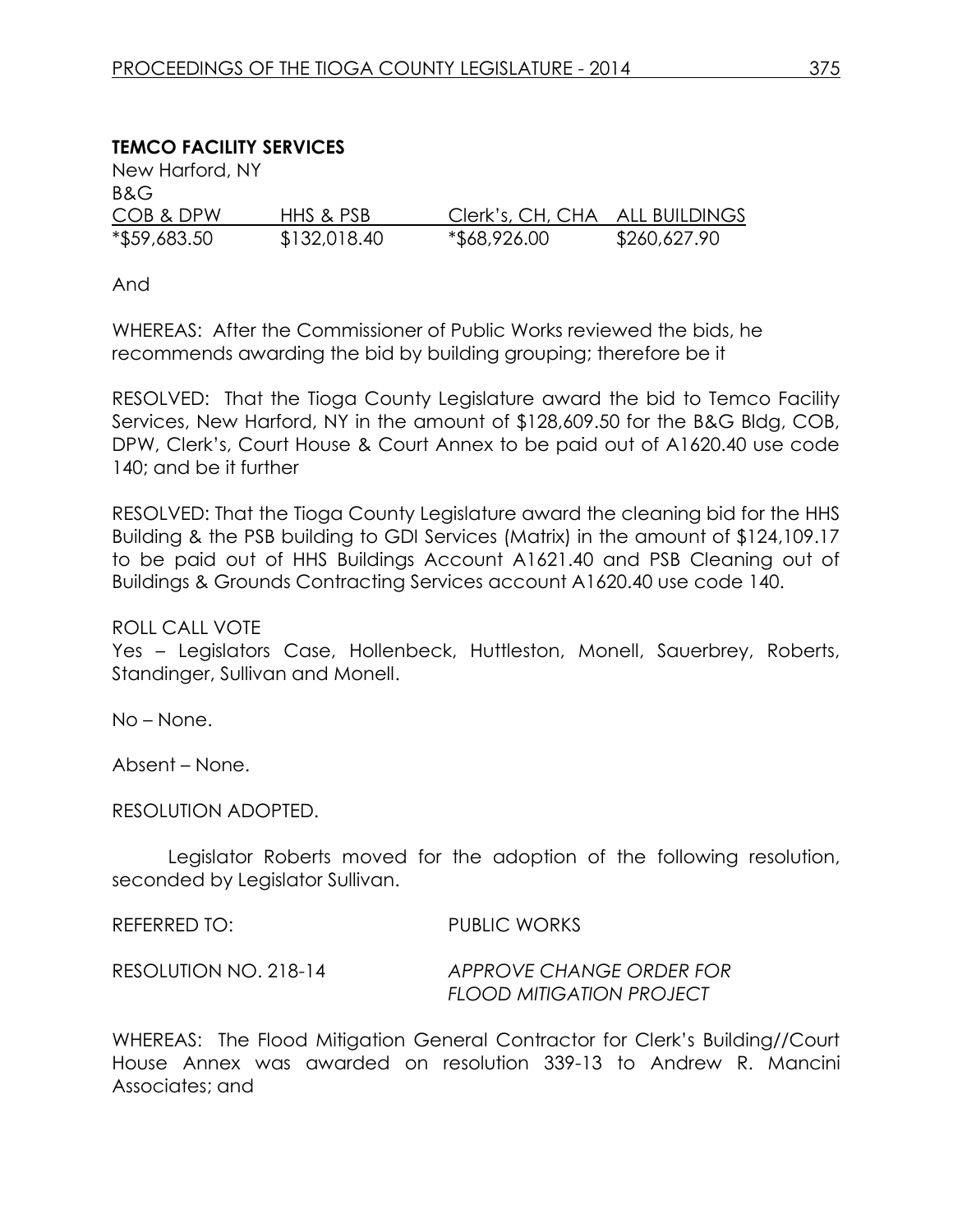# **TEMCO FACILITY SERVICES**

| New Harford, NY |              |                                |              |
|-----------------|--------------|--------------------------------|--------------|
| B&G             |              |                                |              |
| COB & DPW       | HHS & PSB    | Clerk's, CH, CHA ALL BUILDINGS |              |
| *\$59,683.50    | \$132,018.40 | *\$68,926.00                   | \$260,627.90 |

And

WHEREAS: After the Commissioner of Public Works reviewed the bids, he recommends awarding the bid by building grouping; therefore be it

RESOLVED: That the Tioga County Legislature award the bid to Temco Facility Services, New Harford, NY in the amount of \$128,609.50 for the B&G Bldg, COB, DPW, Clerk's, Court House & Court Annex to be paid out of A1620.40 use code 140; and be it further

RESOLVED: That the Tioga County Legislature award the cleaning bid for the HHS Building & the PSB building to GDI Services (Matrix) in the amount of \$124,109.17 to be paid out of HHS Buildings Account A1621.40 and PSB Cleaning out of Buildings & Grounds Contracting Services account A1620.40 use code 140.

ROLL CALL VOTE

Yes – Legislators Case, Hollenbeck, Huttleston, Monell, Sauerbrey, Roberts, Standinger, Sullivan and Monell.

No – None.

Absent – None.

RESOLUTION ADOPTED.

Legislator Roberts moved for the adoption of the following resolution, seconded by Legislator Sullivan.

REFERRED TO: PUBLIC WORKS

RESOLUTION NO. 218-14 *APPROVE CHANGE ORDER FOR FLOOD MITIGATION PROJECT*

WHEREAS: The Flood Mitigation General Contractor for Clerk's Building//Court House Annex was awarded on resolution 339-13 to Andrew R. Mancini Associates; and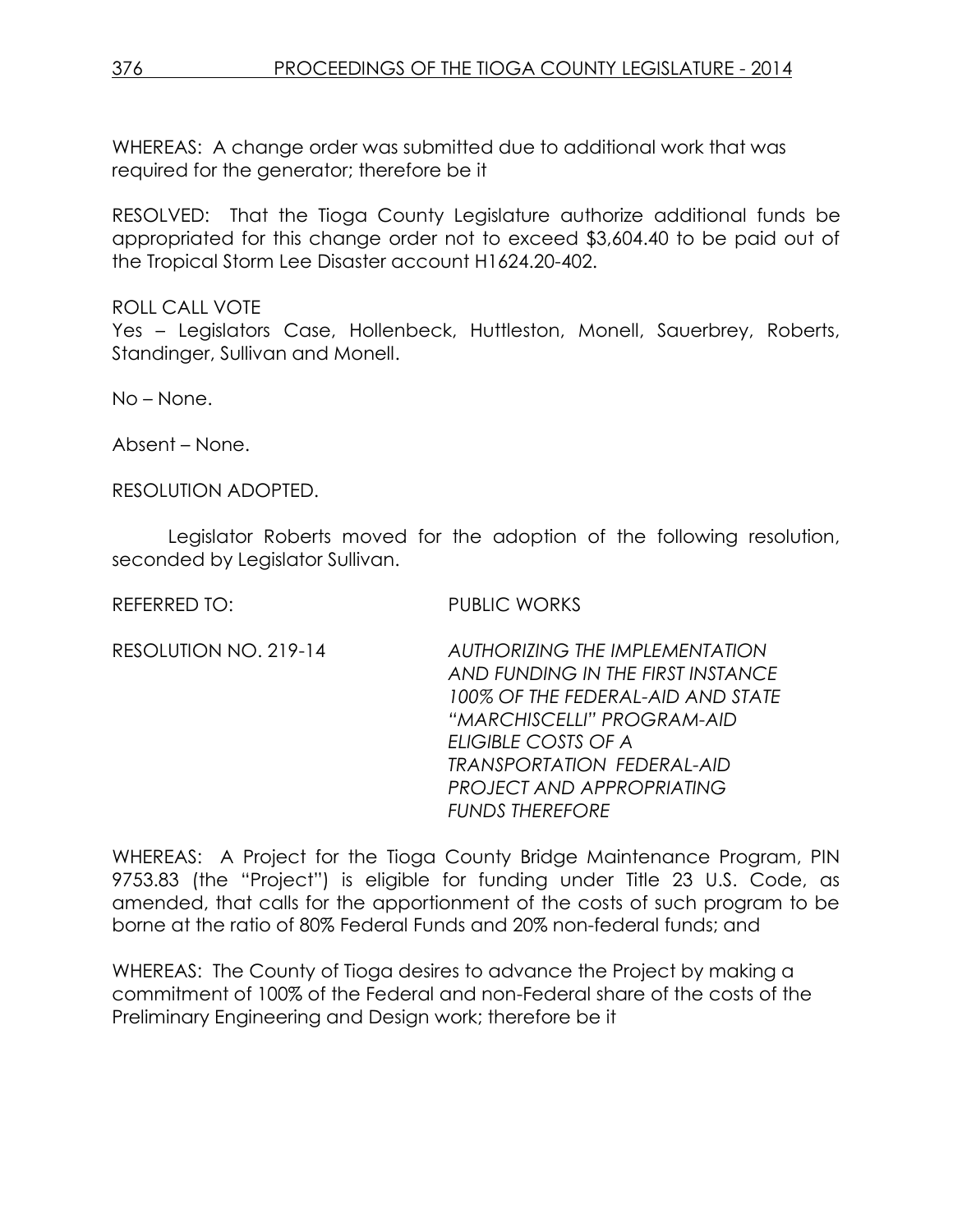WHEREAS: A change order was submitted due to additional work that was required for the generator; therefore be it

RESOLVED: That the Tioga County Legislature authorize additional funds be appropriated for this change order not to exceed \$3,604.40 to be paid out of the Tropical Storm Lee Disaster account H1624.20-402.

ROLL CALL VOTE Yes – Legislators Case, Hollenbeck, Huttleston, Monell, Sauerbrey, Roberts, Standinger, Sullivan and Monell.

No – None.

Absent – None.

RESOLUTION ADOPTED.

Legislator Roberts moved for the adoption of the following resolution, seconded by Legislator Sullivan.

RFFFRRED TO: PUBLIC WORKS

RESOLUTION NO. 219-14 *AUTHORIZING THE IMPLEMENTATION AND FUNDING IN THE FIRST INSTANCE 100% OF THE FEDERAL-AID AND STATE "MARCHISCELLI" PROGRAM-AID ELIGIBLE COSTS OF A TRANSPORTATION FEDERAL-AID PROJECT AND APPROPRIATING FUNDS THEREFORE*

WHEREAS: A Project for the Tioga County Bridge Maintenance Program, PIN 9753.83 (the "Project") is eligible for funding under Title 23 U.S. Code, as amended, that calls for the apportionment of the costs of such program to be borne at the ratio of 80% Federal Funds and 20% non-federal funds; and

WHEREAS: The County of Tioga desires to advance the Project by making a commitment of 100% of the Federal and non-Federal share of the costs of the Preliminary Engineering and Design work; therefore be it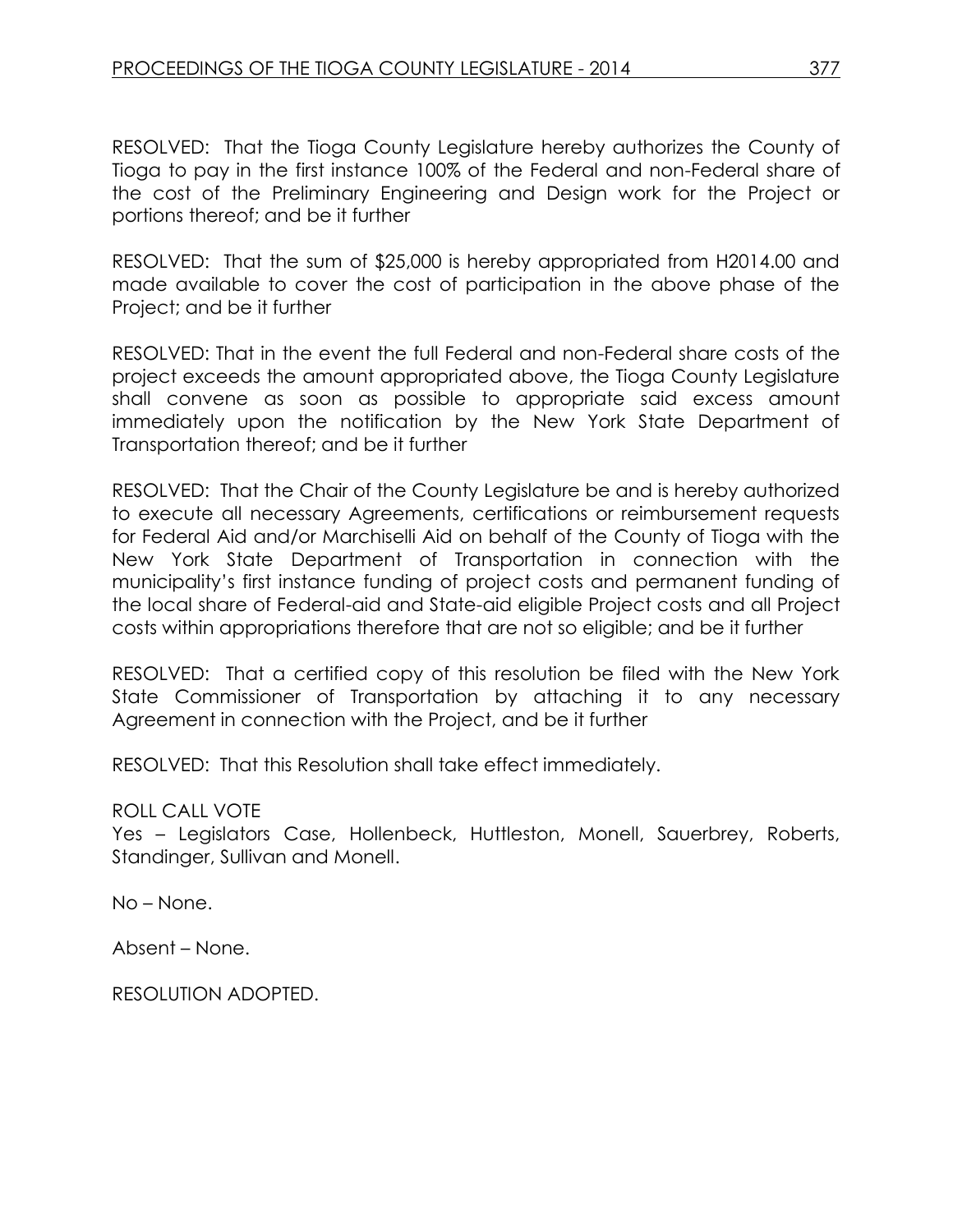RESOLVED: That the Tioga County Legislature hereby authorizes the County of Tioga to pay in the first instance 100% of the Federal and non-Federal share of the cost of the Preliminary Engineering and Design work for the Project or portions thereof; and be it further

RESOLVED: That the sum of \$25,000 is hereby appropriated from H2014.00 and made available to cover the cost of participation in the above phase of the Project; and be it further

RESOLVED: That in the event the full Federal and non-Federal share costs of the project exceeds the amount appropriated above, the Tioga County Legislature shall convene as soon as possible to appropriate said excess amount immediately upon the notification by the New York State Department of Transportation thereof; and be it further

RESOLVED: That the Chair of the County Legislature be and is hereby authorized to execute all necessary Agreements, certifications or reimbursement requests for Federal Aid and/or Marchiselli Aid on behalf of the County of Tioga with the New York State Department of Transportation in connection with the municipality's first instance funding of project costs and permanent funding of the local share of Federal-aid and State-aid eligible Project costs and all Project costs within appropriations therefore that are not so eligible; and be it further

RESOLVED: That a certified copy of this resolution be filed with the New York State Commissioner of Transportation by attaching it to any necessary Agreement in connection with the Project, and be it further

RESOLVED: That this Resolution shall take effect immediately.

ROLL CALL VOTE

Yes – Legislators Case, Hollenbeck, Huttleston, Monell, Sauerbrey, Roberts, Standinger, Sullivan and Monell.

No – None.

Absent – None.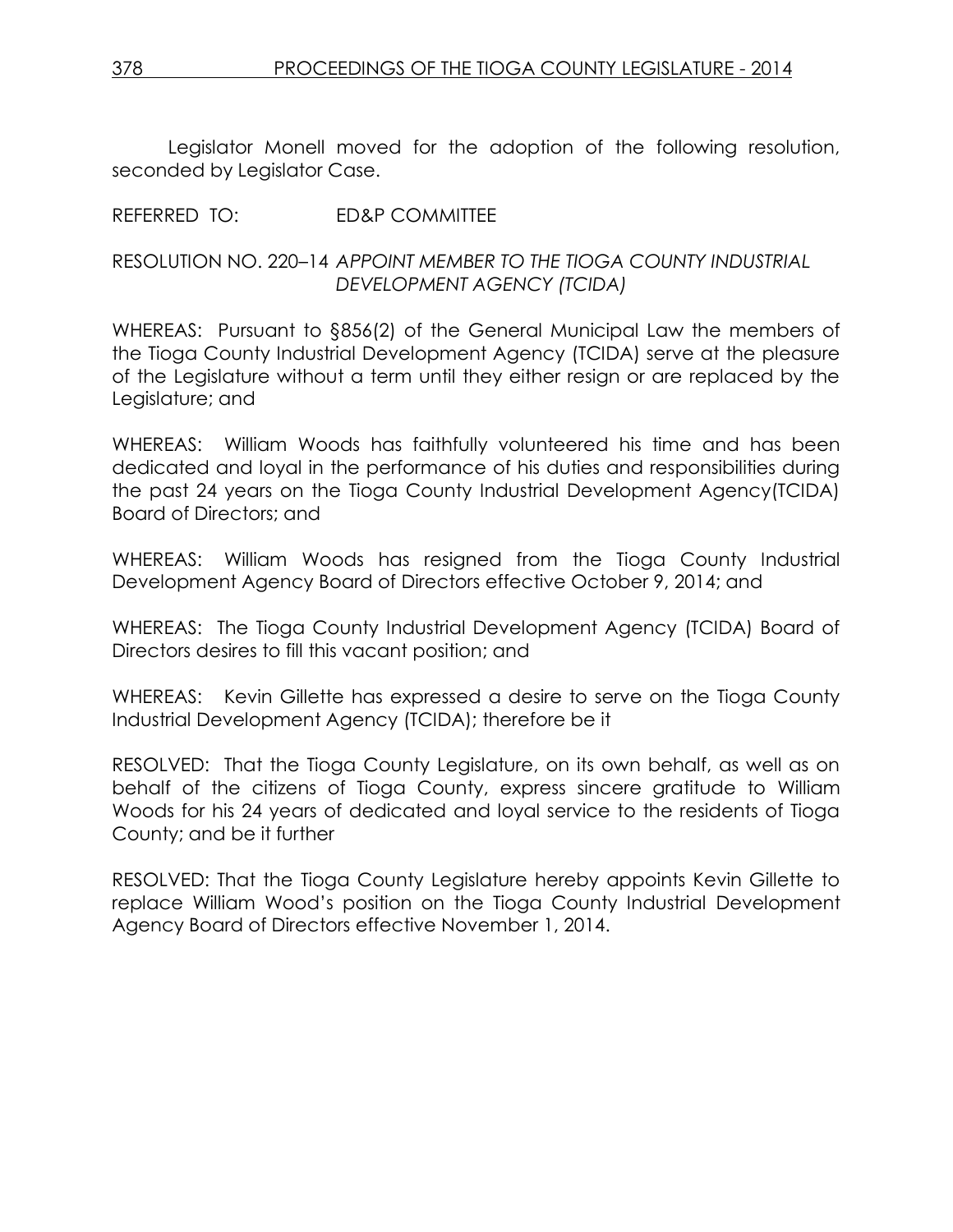Legislator Monell moved for the adoption of the following resolution, seconded by Legislator Case.

#### REFERRED TO: ED&P COMMITTEE

#### RESOLUTION NO. 220–14 *APPOINT MEMBER TO THE TIOGA COUNTY INDUSTRIAL DEVELOPMENT AGENCY (TCIDA)*

WHEREAS: Pursuant to §856(2) of the General Municipal Law the members of the Tioga County Industrial Development Agency (TCIDA) serve at the pleasure of the Legislature without a term until they either resign or are replaced by the Legislature; and

WHEREAS: William Woods has faithfully volunteered his time and has been dedicated and loyal in the performance of his duties and responsibilities during the past 24 years on the Tioga County Industrial Development Agency(TCIDA) Board of Directors; and

WHEREAS: William Woods has resigned from the Tioga County Industrial Development Agency Board of Directors effective October 9, 2014; and

WHEREAS: The Tioga County Industrial Development Agency (TCIDA) Board of Directors desires to fill this vacant position; and

WHEREAS: Kevin Gillette has expressed a desire to serve on the Tioga County Industrial Development Agency (TCIDA); therefore be it

RESOLVED: That the Tioga County Legislature, on its own behalf, as well as on behalf of the citizens of Tioga County, express sincere gratitude to William Woods for his 24 years of dedicated and loyal service to the residents of Tioga County; and be it further

RESOLVED: That the Tioga County Legislature hereby appoints Kevin Gillette to replace William Wood's position on the Tioga County Industrial Development Agency Board of Directors effective November 1, 2014.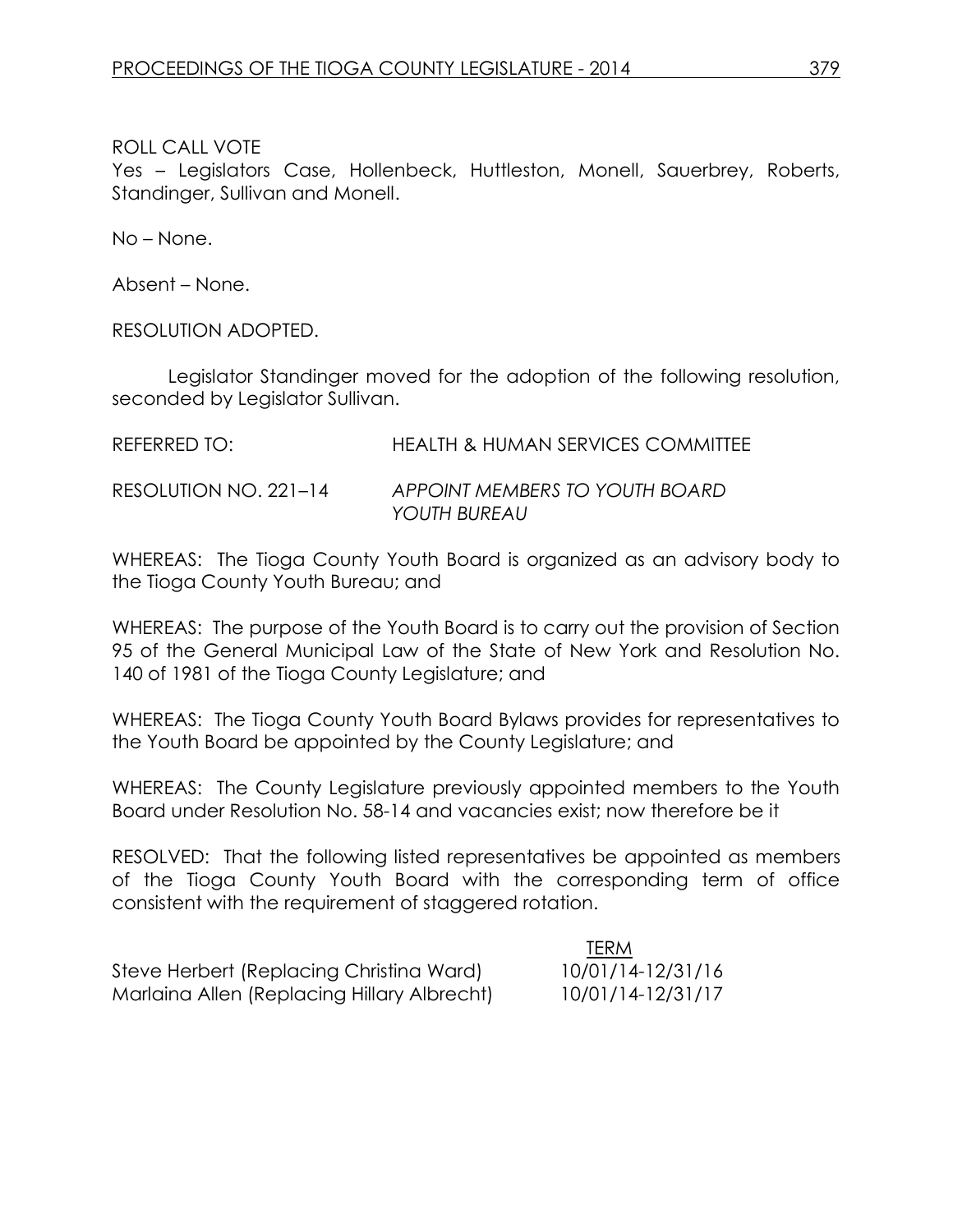Yes – Legislators Case, Hollenbeck, Huttleston, Monell, Sauerbrey, Roberts, Standinger, Sullivan and Monell.

No – None.

Absent – None.

RESOLUTION ADOPTED.

Legislator Standinger moved for the adoption of the following resolution, seconded by Legislator Sullivan.

| REFERRED TO:          | <b>HEALTH &amp; HUMAN SERVICES COMMITTEE</b>   |
|-----------------------|------------------------------------------------|
| RESOLUTION NO. 221-14 | APPOINT MEMBERS TO YOUTH BOARD<br>YOUTH BUREAU |

WHEREAS: The Tioga County Youth Board is organized as an advisory body to the Tioga County Youth Bureau; and

WHEREAS: The purpose of the Youth Board is to carry out the provision of Section 95 of the General Municipal Law of the State of New York and Resolution No. 140 of 1981 of the Tioga County Legislature; and

WHEREAS: The Tioga County Youth Board Bylaws provides for representatives to the Youth Board be appointed by the County Legislature; and

WHEREAS: The County Legislature previously appointed members to the Youth Board under Resolution No. 58-14 and vacancies exist; now therefore be it

RESOLVED: That the following listed representatives be appointed as members of the Tioga County Youth Board with the corresponding term of office consistent with the requirement of staggered rotation.

TERM

|                                             | <b>IERM</b>       |
|---------------------------------------------|-------------------|
| Steve Herbert (Replacing Christina Ward)    | 10/01/14-12/31/16 |
| Marlaina Allen (Replacing Hillary Albrecht) | 10/01/14-12/31/17 |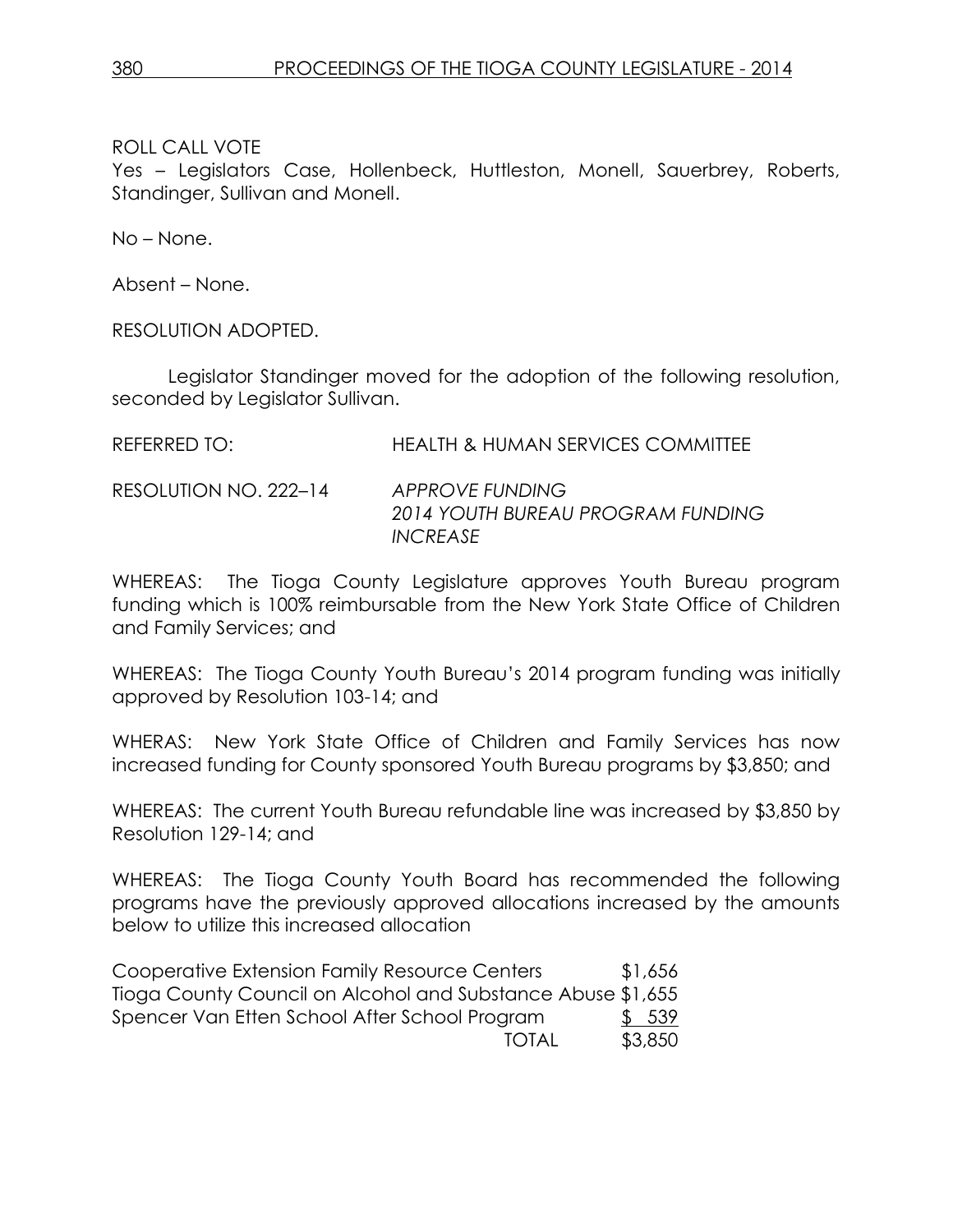Yes – Legislators Case, Hollenbeck, Huttleston, Monell, Sauerbrey, Roberts, Standinger, Sullivan and Monell.

No – None.

Absent – None.

RESOLUTION ADOPTED.

Legislator Standinger moved for the adoption of the following resolution, seconded by Legislator Sullivan.

RESOLUTION NO. 222–14 *APPROVE FUNDING 2014 YOUTH BUREAU PROGRAM FUNDING INCREASE*

WHEREAS: The Tioga County Legislature approves Youth Bureau program funding which is 100% reimbursable from the New York State Office of Children and Family Services; and

WHEREAS: The Tioga County Youth Bureau's 2014 program funding was initially approved by Resolution 103-14; and

WHERAS: New York State Office of Children and Family Services has now increased funding for County sponsored Youth Bureau programs by \$3,850; and

WHEREAS: The current Youth Bureau refundable line was increased by \$3,850 by Resolution 129-14; and

WHEREAS: The Tioga County Youth Board has recommended the following programs have the previously approved allocations increased by the amounts below to utilize this increased allocation

Cooperative Extension Family Resource Centers \$1,656 Tioga County Council on Alcohol and Substance Abuse \$1,655 Spencer Van Etten School After School Program \$ 539 TOTAL \$3,850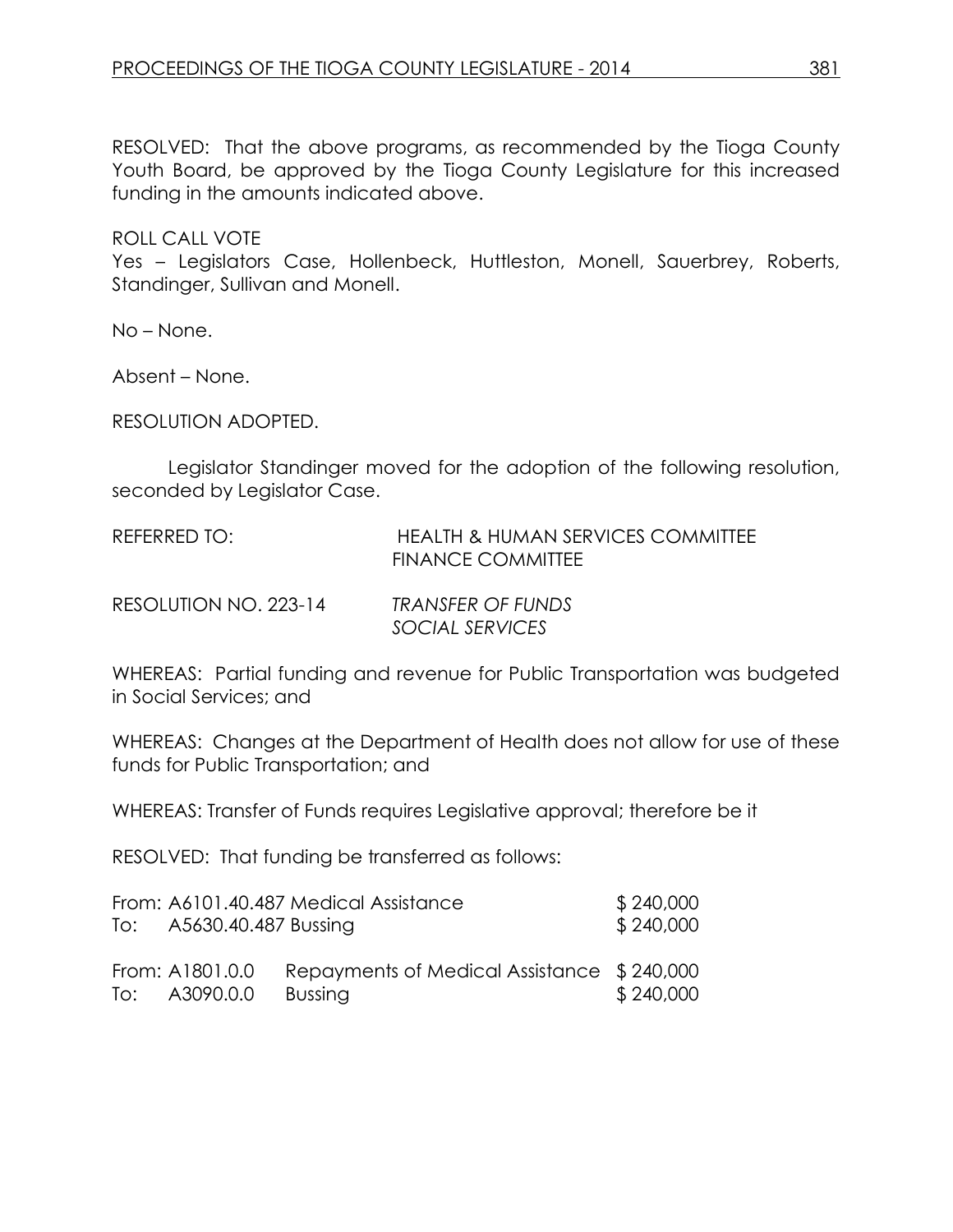RESOLVED: That the above programs, as recommended by the Tioga County Youth Board, be approved by the Tioga County Legislature for this increased funding in the amounts indicated above.

ROLL CALL VOTE

Yes – Legislators Case, Hollenbeck, Huttleston, Monell, Sauerbrey, Roberts, Standinger, Sullivan and Monell.

No – None.

Absent – None.

RESOLUTION ADOPTED.

Legislator Standinger moved for the adoption of the following resolution, seconded by Legislator Case.

| REFERRED TO:          | <b>HEALTH &amp; HUMAN SERVICES COMMITTEE</b><br><b>FINANCE COMMITTEE</b> |
|-----------------------|--------------------------------------------------------------------------|
| RESOLUTION NO. 223-14 | TRANSFER OF FUNDS<br>SOCIAL SERVICES                                     |

WHEREAS: Partial funding and revenue for Public Transportation was budgeted in Social Services; and

WHEREAS: Changes at the Department of Health does not allow for use of these funds for Public Transportation; and

WHEREAS: Transfer of Funds requires Legislative approval; therefore be it

RESOLVED: That funding be transferred as follows:

|                          | From: A6101.40.487 Medical Assistance      | \$240,000 |
|--------------------------|--------------------------------------------|-----------|
| To: A5630.40.487 Bussing |                                            | \$240,000 |
|                          |                                            |           |
| From: A1801.0.0          | Repayments of Medical Assistance \$240,000 |           |
| To: A3090.0.0            | <b>Bussing</b>                             | \$240,000 |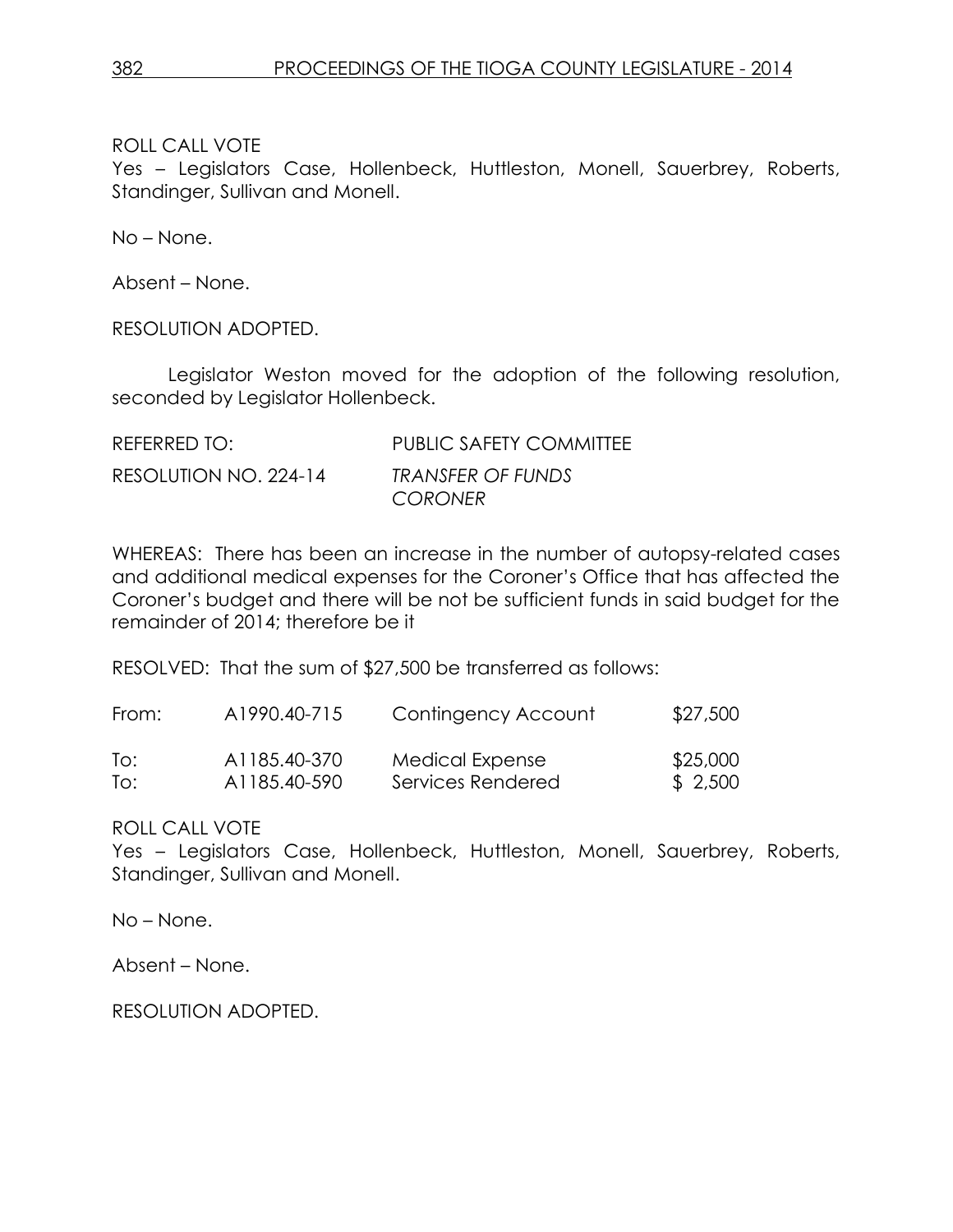Yes – Legislators Case, Hollenbeck, Huttleston, Monell, Sauerbrey, Roberts, Standinger, Sullivan and Monell.

No – None.

Absent – None.

RESOLUTION ADOPTED.

Legislator Weston moved for the adoption of the following resolution, seconded by Legislator Hollenbeck.

| REFERRED TO:          | <b>PUBLIC SAFETY COMMITTEE</b>      |
|-----------------------|-------------------------------------|
| RESOLUTION NO. 224-14 | TRANSFER OF FUNDS<br><b>CORONER</b> |

WHEREAS: There has been an increase in the number of autopsy-related cases and additional medical expenses for the Coroner's Office that has affected the Coroner's budget and there will be not be sufficient funds in said budget for the remainder of 2014; therefore be it

RESOLVED: That the sum of \$27,500 be transferred as follows:

| From: | A1990.40-715              | Contingency Account | \$27,500 |
|-------|---------------------------|---------------------|----------|
| To:   | A <sub>1185.40</sub> -370 | Medical Expense     | \$25,000 |
| To:   | A <sub>1185.40-590</sub>  | Services Rendered   | \$2,500  |

ROLL CALL VOTE

Yes – Legislators Case, Hollenbeck, Huttleston, Monell, Sauerbrey, Roberts, Standinger, Sullivan and Monell.

No – None.

Absent – None.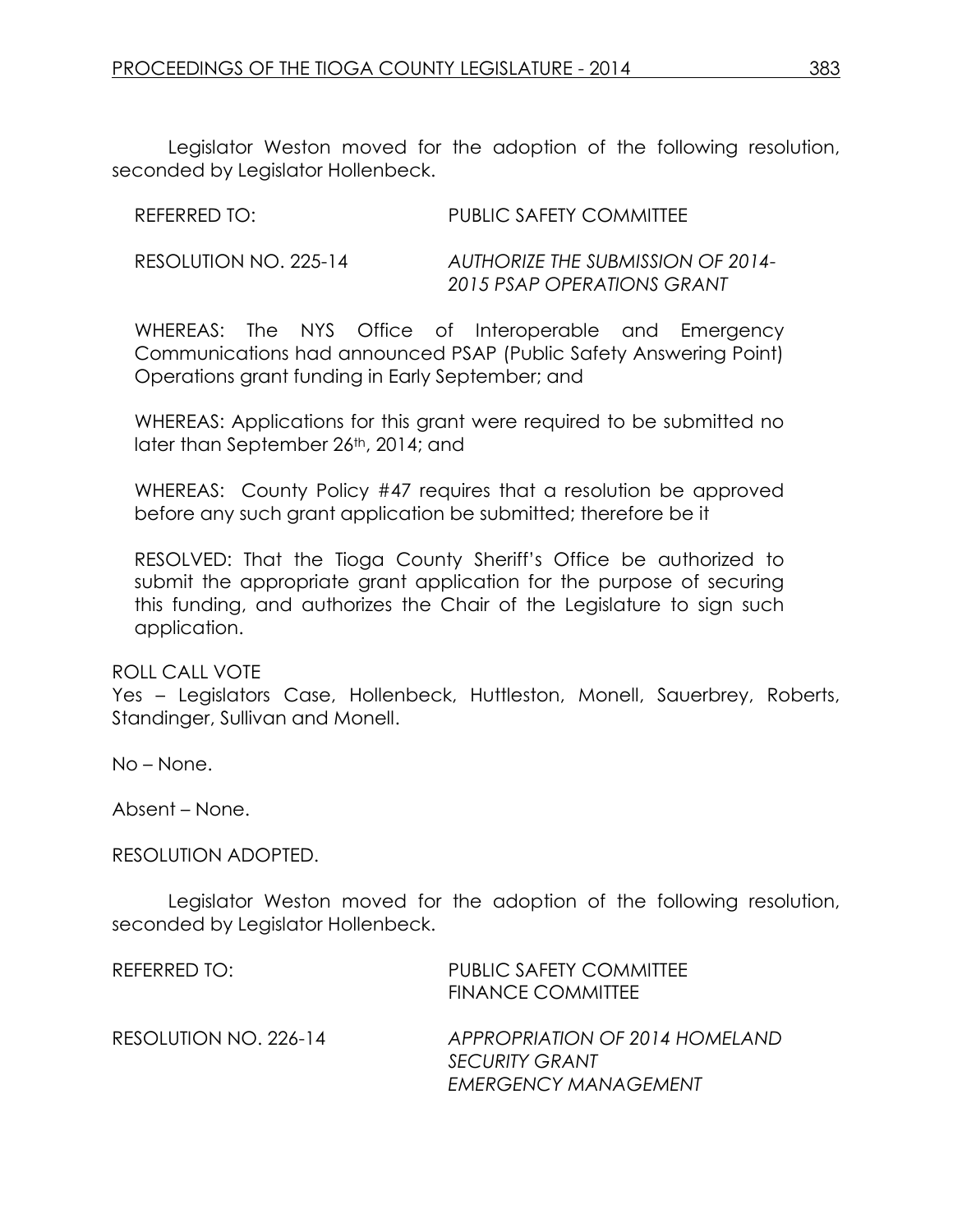Legislator Weston moved for the adoption of the following resolution, seconded by Legislator Hollenbeck.

| REFERRED TO:          | PUBLIC SAFETY COMMITTEE                                         |
|-----------------------|-----------------------------------------------------------------|
| RESOLUTION NO. 225-14 | AUTHORIZE THE SUBMISSION OF 2014-<br>2015 PSAP OPERATIONS GRANT |

WHEREAS: The NYS Office of Interoperable and Emergency Communications had announced PSAP (Public Safety Answering Point) Operations grant funding in Early September; and

WHEREAS: Applications for this grant were required to be submitted no later than September 26th, 2014; and

WHEREAS: County Policy #47 requires that a resolution be approved before any such grant application be submitted; therefore be it

RESOLVED: That the Tioga County Sheriff's Office be authorized to submit the appropriate grant application for the purpose of securing this funding, and authorizes the Chair of the Legislature to sign such application.

#### ROLL CALL VOTE

Yes – Legislators Case, Hollenbeck, Huttleston, Monell, Sauerbrey, Roberts, Standinger, Sullivan and Monell.

No – None.

Absent – None.

#### RESOLUTION ADOPTED.

Legislator Weston moved for the adoption of the following resolution, seconded by Legislator Hollenbeck.

| REFERRED TO:          | <b>PUBLIC SAFETY COMMITTEE</b><br><b>FINANCE COMMITTEE</b>                             |
|-----------------------|----------------------------------------------------------------------------------------|
| RESOLUTION NO. 226-14 | APPROPRIATION OF 2014 HOMELAND<br><b>SECURITY GRANT</b><br><b>EMERGENCY MANAGEMENT</b> |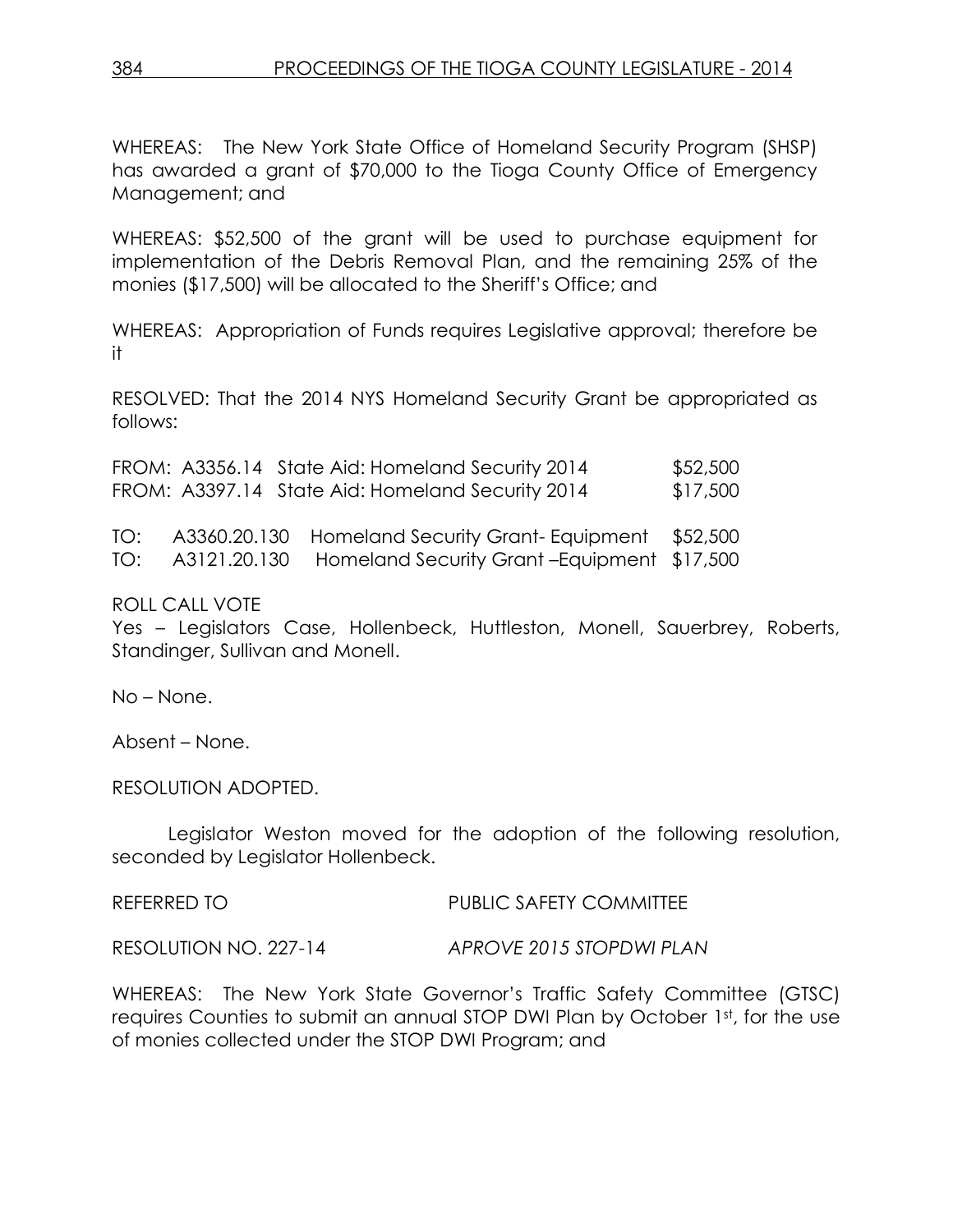WHEREAS: The New York State Office of Homeland Security Program (SHSP) has awarded a grant of \$70,000 to the Tioga County Office of Emergency Management; and

WHEREAS: \$52,500 of the grant will be used to purchase equipment for implementation of the Debris Removal Plan, and the remaining 25% of the monies (\$17,500) will be allocated to the Sheriff's Office; and

WHEREAS: Appropriation of Funds requires Legislative approval; therefore be it

RESOLVED: That the 2014 NYS Homeland Security Grant be appropriated as follows:

|  | FROM: A3356.14 State Aid: Homeland Security 2014 | \$52,500 |
|--|--------------------------------------------------|----------|
|  | FROM: A3397.14 State Aid: Homeland Security 2014 | \$17,500 |

|  | TO: A3360.20.130 Homeland Security Grant-Equipment \$52,500 |  |
|--|-------------------------------------------------------------|--|
|  | TO: A3121.20.130 Homeland Security Grant-Equipment \$17,500 |  |

ROLL CALL VOTE

Yes – Legislators Case, Hollenbeck, Huttleston, Monell, Sauerbrey, Roberts, Standinger, Sullivan and Monell.

No – None.

Absent – None.

RESOLUTION ADOPTED.

Legislator Weston moved for the adoption of the following resolution, seconded by Legislator Hollenbeck.

REFERRED TO PUBLIC SAFETY COMMITTEE

RESOLUTION NO. 227-14 *APROVE 2015 STOPDWI PLAN*

WHEREAS: The New York State Governor's Traffic Safety Committee (GTSC) requires Counties to submit an annual STOP DWI Plan by October 1st, for the use of monies collected under the STOP DWI Program; and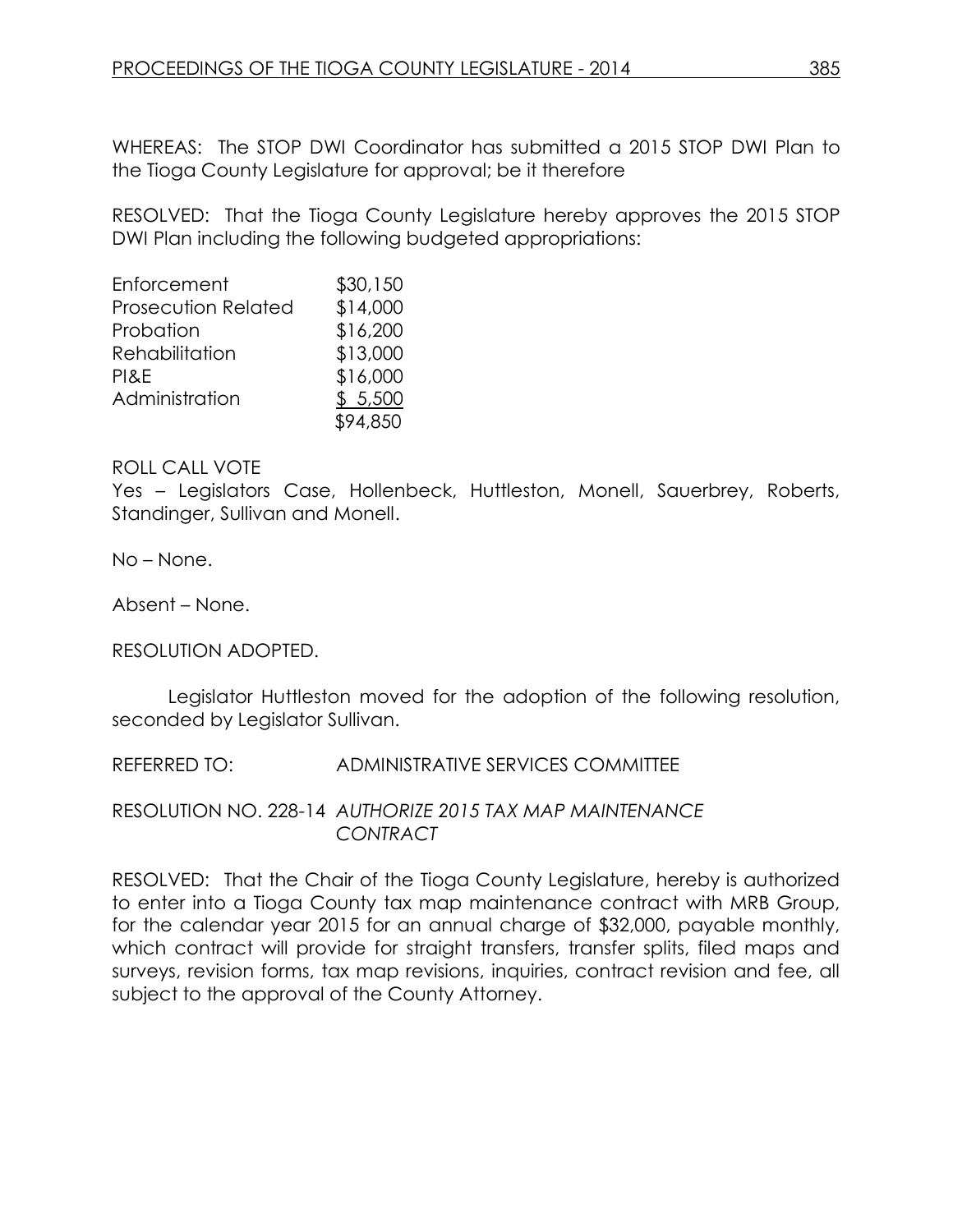WHEREAS: The STOP DWI Coordinator has submitted a 2015 STOP DWI Plan to the Tioga County Legislature for approval; be it therefore

RESOLVED: That the Tioga County Legislature hereby approves the 2015 STOP DWI Plan including the following budgeted appropriations:

| Enforcement                | \$30,150 |
|----------------------------|----------|
| <b>Prosecution Related</b> | \$14,000 |
| Probation                  | \$16,200 |
| Rehabilitation             | \$13,000 |
| PI&E                       | \$16,000 |
| Administration             | \$5,500  |
|                            | \$94,850 |

#### ROLL CALL VOTE

Yes – Legislators Case, Hollenbeck, Huttleston, Monell, Sauerbrey, Roberts, Standinger, Sullivan and Monell.

No – None.

Absent – None.

RESOLUTION ADOPTED.

Legislator Huttleston moved for the adoption of the following resolution, seconded by Legislator Sullivan.

REFERRED TO: ADMINISTRATIVE SERVICES COMMITTEE

RESOLUTION NO. 228-14 *AUTHORIZE 2015 TAX MAP MAINTENANCE CONTRACT*

RESOLVED: That the Chair of the Tioga County Legislature, hereby is authorized to enter into a Tioga County tax map maintenance contract with MRB Group, for the calendar year 2015 for an annual charge of \$32,000, payable monthly, which contract will provide for straight transfers, transfer splits, filed maps and surveys, revision forms, tax map revisions, inquiries, contract revision and fee, all subject to the approval of the County Attorney.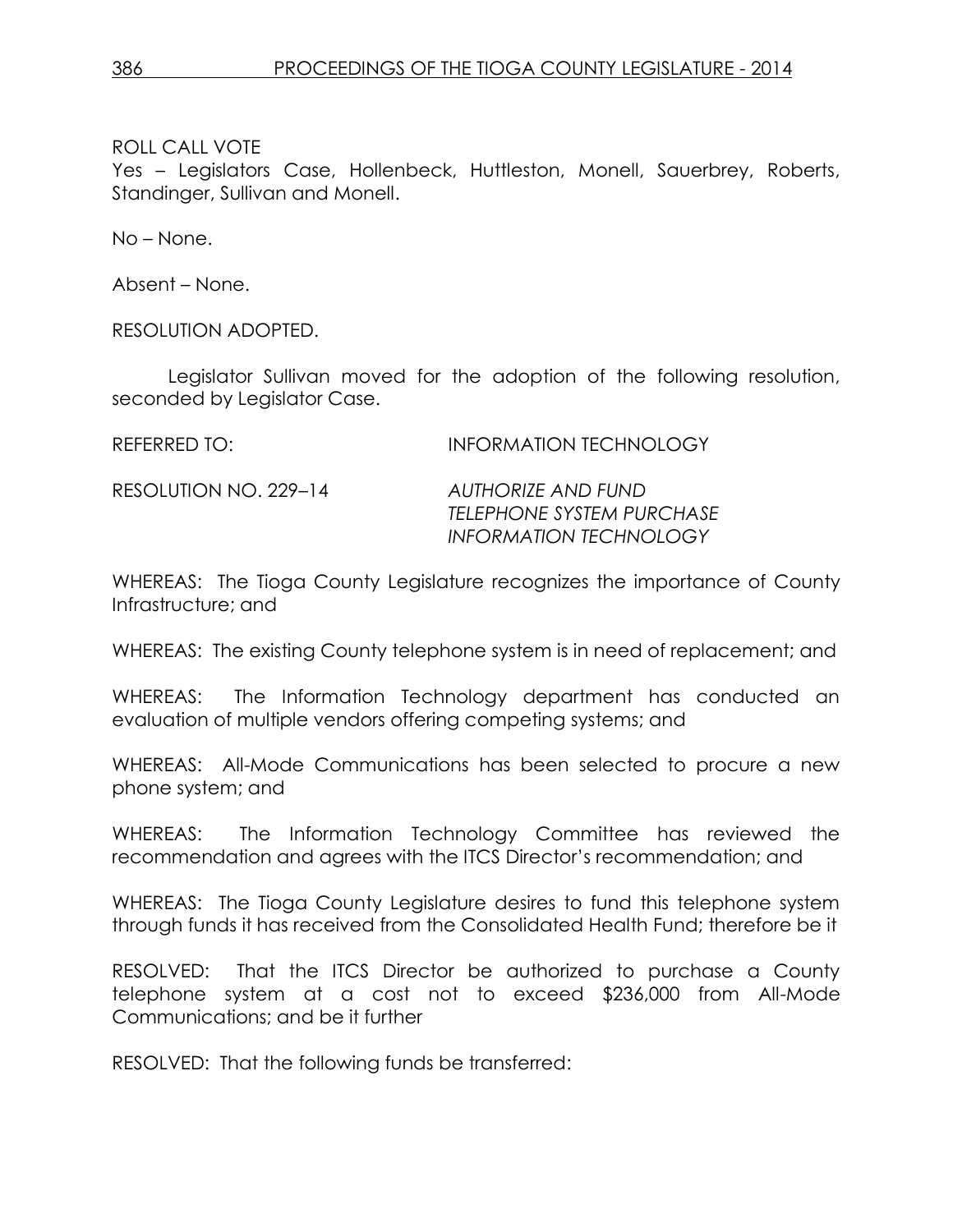Yes – Legislators Case, Hollenbeck, Huttleston, Monell, Sauerbrey, Roberts, Standinger, Sullivan and Monell.

No – None.

Absent – None.

RESOLUTION ADOPTED.

Legislator Sullivan moved for the adoption of the following resolution, seconded by Legislator Case.

REFERRED TO: INFORMATION TECHNOLOGY

RESOLUTION NO. 229–14 *AUTHORIZE AND FUND* 

*TELEPHONE SYSTEM PURCHASE INFORMATION TECHNOLOGY*

WHEREAS: The Tioga County Legislature recognizes the importance of County Infrastructure; and

WHEREAS: The existing County telephone system is in need of replacement; and

WHEREAS: The Information Technology department has conducted an evaluation of multiple vendors offering competing systems; and

WHEREAS: All-Mode Communications has been selected to procure a new phone system; and

WHEREAS: The Information Technology Committee has reviewed the recommendation and agrees with the ITCS Director's recommendation; and

WHEREAS: The Tioga County Legislature desires to fund this telephone system through funds it has received from the Consolidated Health Fund; therefore be it

RESOLVED: That the ITCS Director be authorized to purchase a County telephone system at a cost not to exceed \$236,000 from All-Mode Communications; and be it further

RESOLVED: That the following funds be transferred: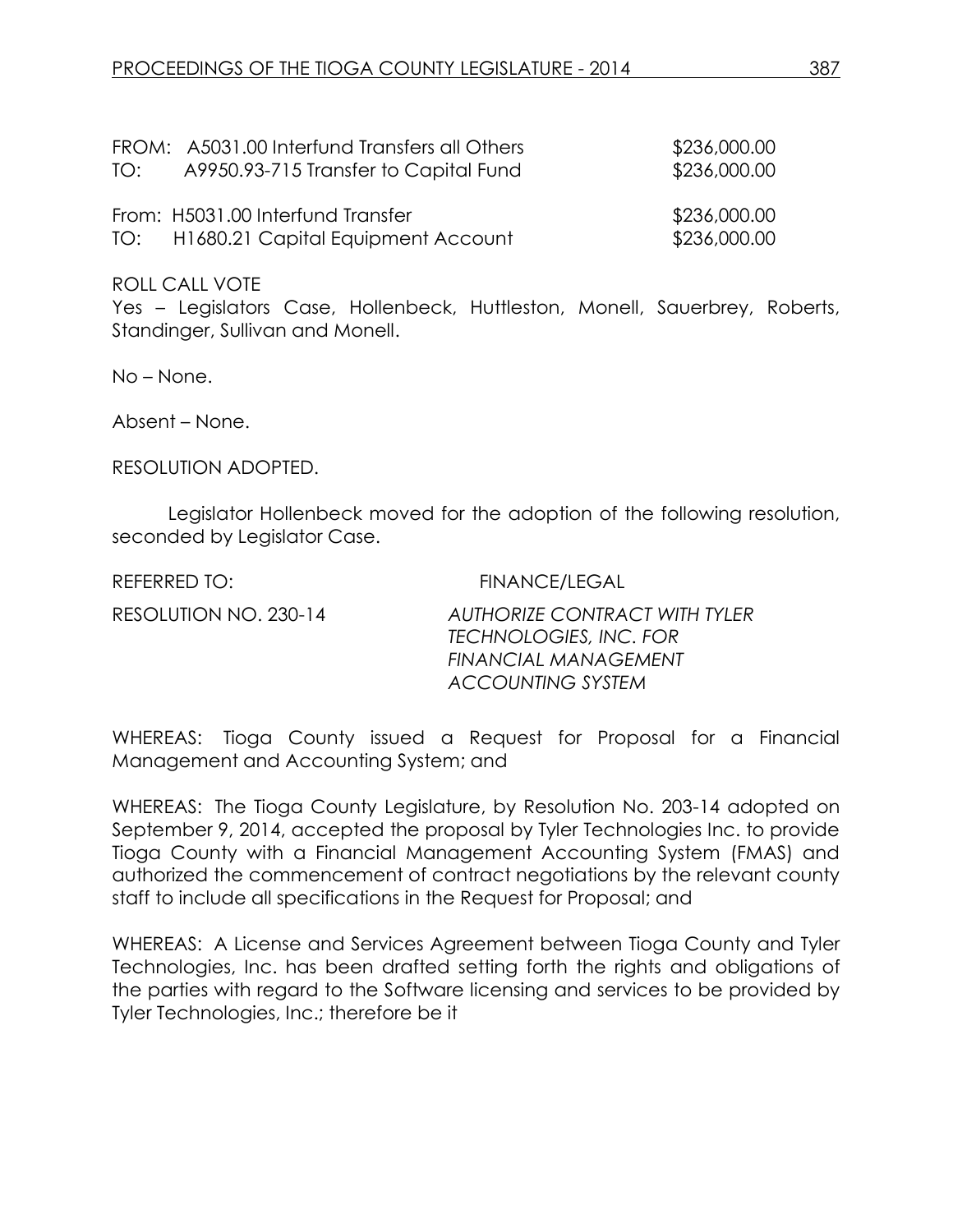| TO: | FROM: A5031.00 Interfund Transfers all Others<br>A9950.93-715 Transfer to Capital Fund | \$236,000.00<br>\$236,000.00 |
|-----|----------------------------------------------------------------------------------------|------------------------------|
|     | From: H5031.00 Interfund Transfer<br>TO: H1680.21 Capital Equipment Account            | \$236,000.00<br>\$236,000.00 |

Yes – Legislators Case, Hollenbeck, Huttleston, Monell, Sauerbrey, Roberts, Standinger, Sullivan and Monell.

No – None.

Absent – None.

RESOLUTION ADOPTED.

Legislator Hollenbeck moved for the adoption of the following resolution, seconded by Legislator Case.

| REFERRED TO:          | <b>FINANCE/LEGAL</b>                                                                                                      |
|-----------------------|---------------------------------------------------------------------------------------------------------------------------|
| RESOLUTION NO. 230-14 | <b>AUTHORIZE CONTRACT WITH TYLER</b><br>TECHNOLOGIES, INC. FOR<br><b>FINANCIAL MANAGEMENT</b><br><b>ACCOUNTING SYSTEM</b> |

WHEREAS: Tioga County issued a Request for Proposal for a Financial Management and Accounting System; and

WHEREAS: The Tioga County Legislature, by Resolution No. 203-14 adopted on September 9, 2014, accepted the proposal by Tyler Technologies Inc. to provide Tioga County with a Financial Management Accounting System (FMAS) and authorized the commencement of contract negotiations by the relevant county staff to include all specifications in the Request for Proposal; and

WHEREAS: A License and Services Agreement between Tioga County and Tyler Technologies, Inc. has been drafted setting forth the rights and obligations of the parties with regard to the Software licensing and services to be provided by Tyler Technologies, Inc.; therefore be it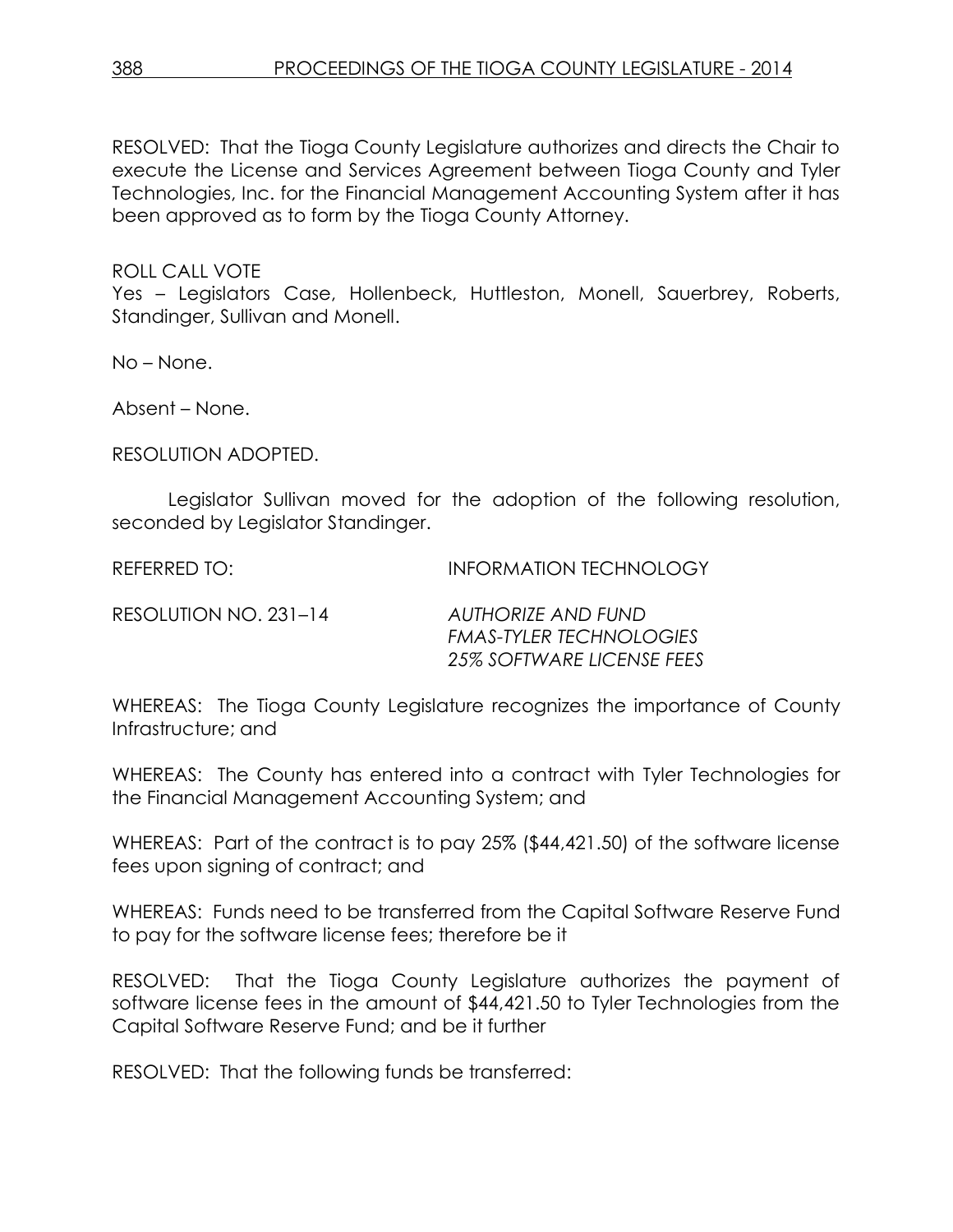RESOLVED: That the Tioga County Legislature authorizes and directs the Chair to execute the License and Services Agreement between Tioga County and Tyler Technologies, Inc. for the Financial Management Accounting System after it has been approved as to form by the Tioga County Attorney.

#### ROLL CALL VOTE

Yes – Legislators Case, Hollenbeck, Huttleston, Monell, Sauerbrey, Roberts, Standinger, Sullivan and Monell.

No – None.

Absent – None.

RESOLUTION ADOPTED.

Legislator Sullivan moved for the adoption of the following resolution, seconded by Legislator Standinger.

REFERRED TO: **INFORMATION TECHNOLOGY** 

RESOLUTION NO. 231–14 *AUTHORIZE AND FUND* 

*FMAS-TYLER TECHNOLOGIES 25% SOFTWARE LICENSE FEES*

WHEREAS: The Tioga County Legislature recognizes the importance of County Infrastructure; and

WHEREAS: The County has entered into a contract with Tyler Technologies for the Financial Management Accounting System; and

WHEREAS: Part of the contract is to pay 25% (\$44,421.50) of the software license fees upon signing of contract; and

WHEREAS: Funds need to be transferred from the Capital Software Reserve Fund to pay for the software license fees; therefore be it

RESOLVED: That the Tioga County Legislature authorizes the payment of software license fees in the amount of \$44,421.50 to Tyler Technologies from the Capital Software Reserve Fund; and be it further

RESOLVED: That the following funds be transferred: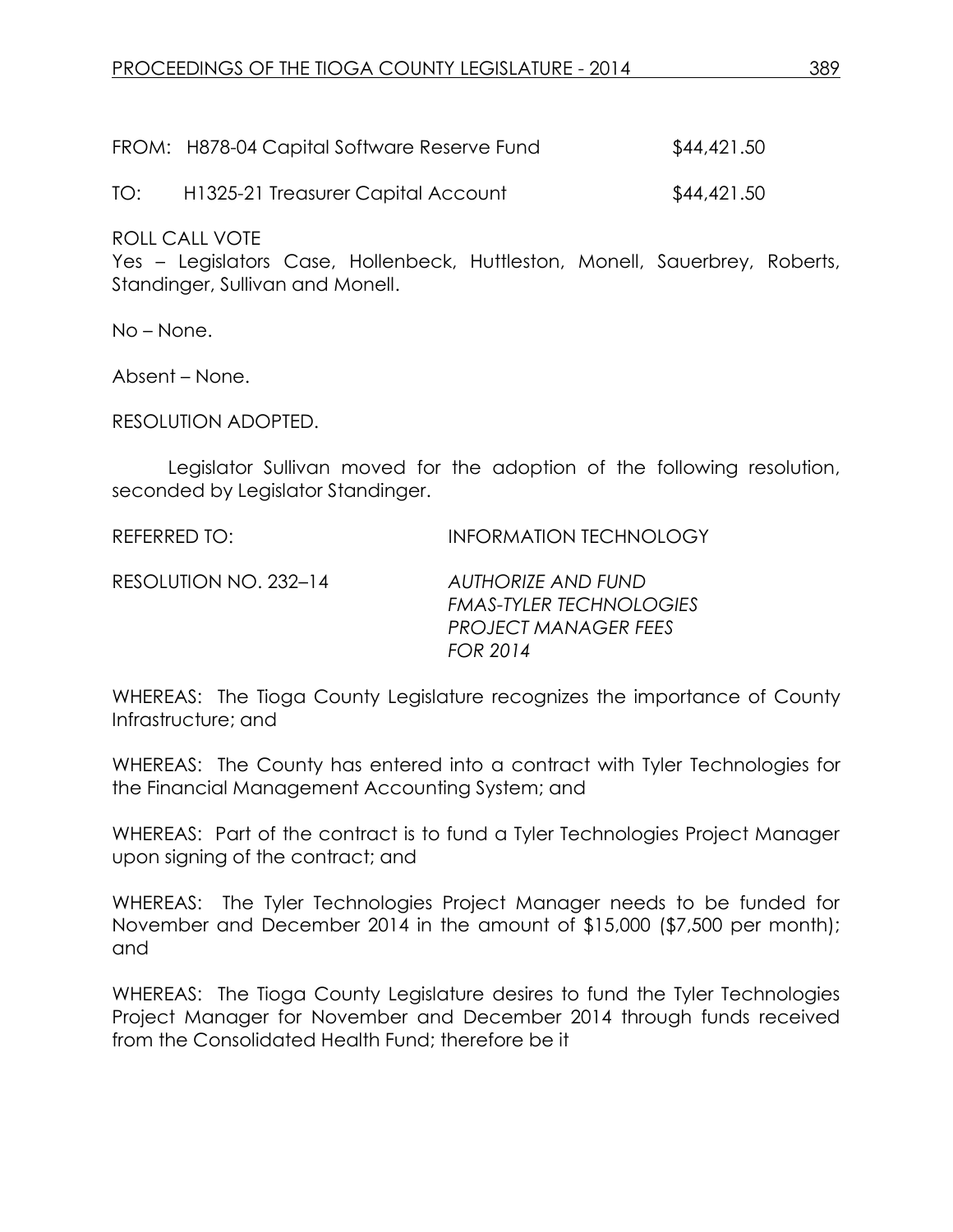FROM: H878-04 Capital Software Reserve Fund \$44,421.50

TO: H1325-21 Treasurer Capital Account \$44,421.50

ROLL CALL VOTE

Yes – Legislators Case, Hollenbeck, Huttleston, Monell, Sauerbrey, Roberts, Standinger, Sullivan and Monell.

No – None.

Absent – None.

RESOLUTION ADOPTED.

Legislator Sullivan moved for the adoption of the following resolution, seconded by Legislator Standinger.

REFERRED TO: INFORMATION TECHNOLOGY

RESOLUTION NO. 232–14 *AUTHORIZE AND FUND* 

*FMAS-TYLER TECHNOLOGIES PROJECT MANAGER FEES FOR 2014*

WHEREAS: The Tioga County Legislature recognizes the importance of County Infrastructure; and

WHEREAS: The County has entered into a contract with Tyler Technologies for the Financial Management Accounting System; and

WHEREAS: Part of the contract is to fund a Tyler Technologies Project Manager upon signing of the contract; and

WHEREAS: The Tyler Technologies Project Manager needs to be funded for November and December 2014 in the amount of \$15,000 (\$7,500 per month); and

WHEREAS: The Tioga County Legislature desires to fund the Tyler Technologies Project Manager for November and December 2014 through funds received from the Consolidated Health Fund; therefore be it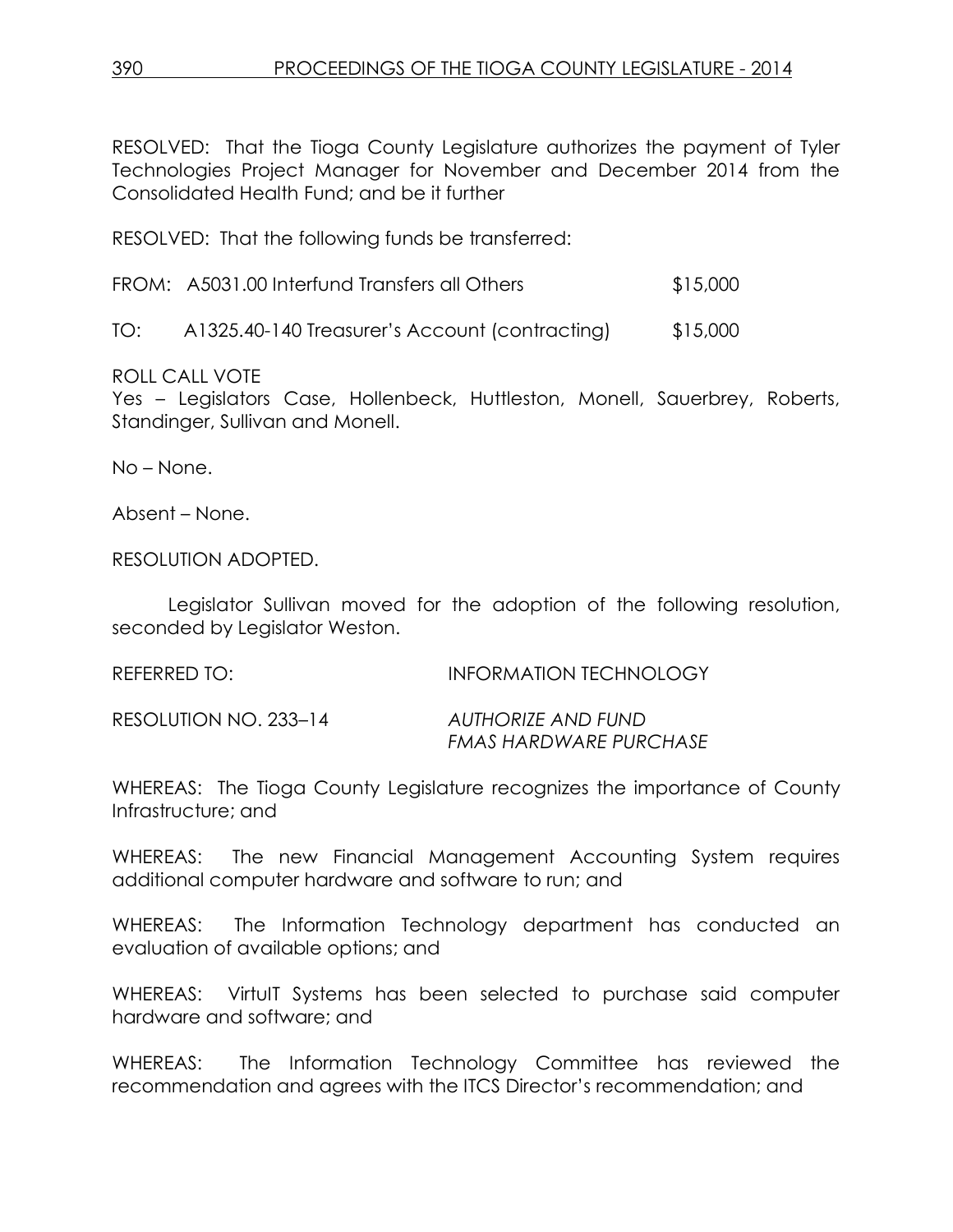RESOLVED: That the Tioga County Legislature authorizes the payment of Tyler Technologies Project Manager for November and December 2014 from the Consolidated Health Fund; and be it further

RESOLVED: That the following funds be transferred:

| FROM: A5031.00 Interfund Transfers all Others | \$15,000 |
|-----------------------------------------------|----------|
|-----------------------------------------------|----------|

TO: A1325.40-140 Treasurer's Account (contracting) \$15,000

ROLL CALL VOTE

Yes – Legislators Case, Hollenbeck, Huttleston, Monell, Sauerbrey, Roberts, Standinger, Sullivan and Monell.

No – None.

Absent – None.

RESOLUTION ADOPTED.

Legislator Sullivan moved for the adoption of the following resolution, seconded by Legislator Weston.

REFERRED TO: INFORMATION TECHNOLOGY RESOLUTION NO. 233–14 *AUTHORIZE AND FUND*

*FMAS HARDWARE PURCHASE*

WHEREAS: The Tioga County Legislature recognizes the importance of County Infrastructure; and

WHEREAS: The new Financial Management Accounting System requires additional computer hardware and software to run; and

WHEREAS: The Information Technology department has conducted an evaluation of available options; and

WHEREAS: VirtuIT Systems has been selected to purchase said computer hardware and software; and

WHEREAS: The Information Technology Committee has reviewed the recommendation and agrees with the ITCS Director's recommendation; and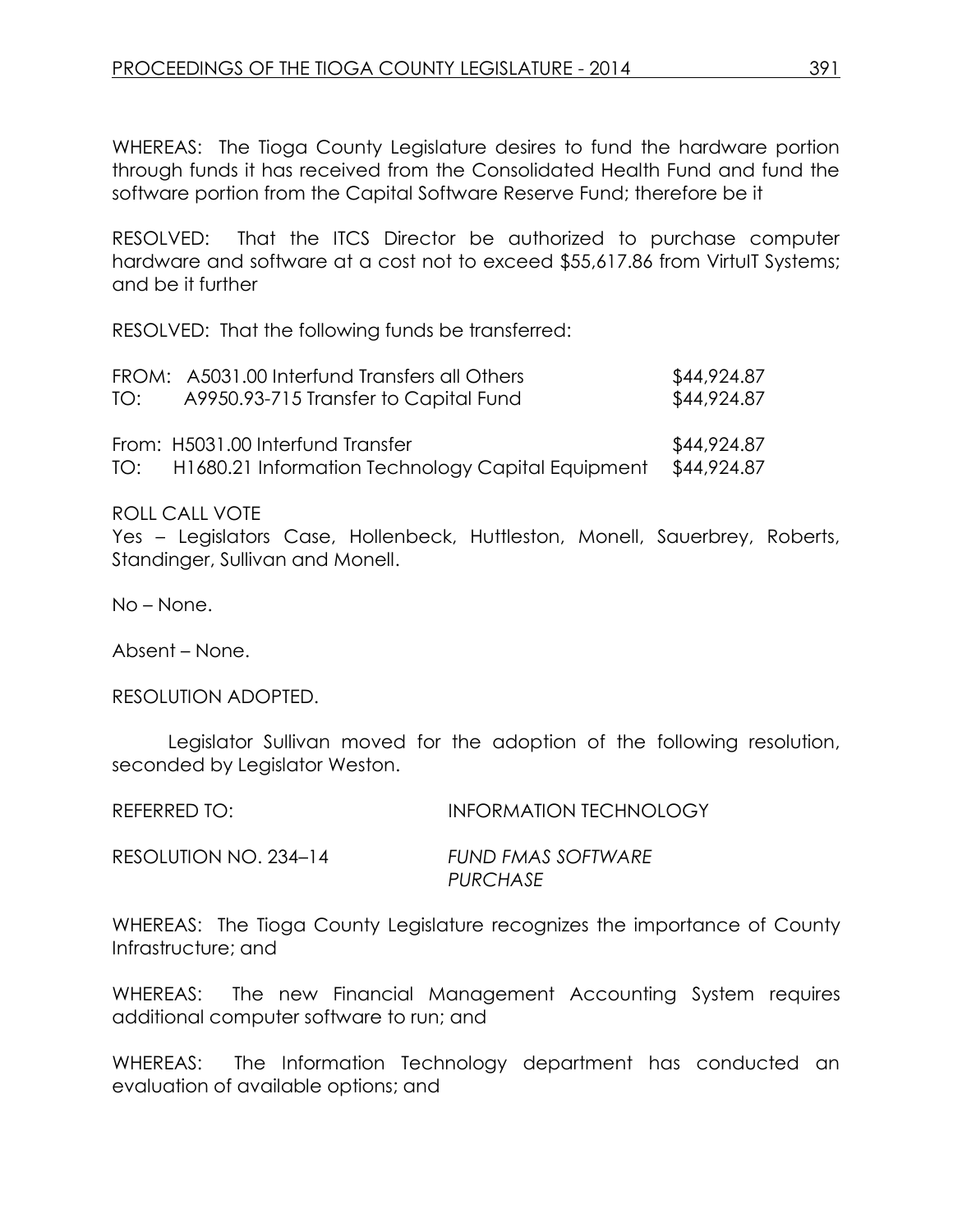WHEREAS: The Tioga County Legislature desires to fund the hardware portion through funds it has received from the Consolidated Health Fund and fund the software portion from the Capital Software Reserve Fund; therefore be it

RESOLVED: That the ITCS Director be authorized to purchase computer hardware and software at a cost not to exceed \$55,617.86 from VirtuIT Systems; and be it further

RESOLVED: That the following funds be transferred:

| TO: | FROM: A5031.00 Interfund Transfers all Others<br>A9950.93-715 Transfer to Capital Fund     | \$44,924.87<br>\$44,924.87 |
|-----|--------------------------------------------------------------------------------------------|----------------------------|
|     | From: H5031.00 Interfund Transfer<br>TO: H1680.21 Information Technology Capital Equipment | \$44,924.87<br>\$44,924.87 |

ROLL CALL VOTE

Yes – Legislators Case, Hollenbeck, Huttleston, Monell, Sauerbrey, Roberts, Standinger, Sullivan and Monell.

No – None.

Absent – None.

RESOLUTION ADOPTED.

Legislator Sullivan moved for the adoption of the following resolution, seconded by Legislator Weston.

| REFERRED TO:          | <b>INFORMATION TECHNOLOGY</b>  |
|-----------------------|--------------------------------|
| RESOLUTION NO. 234–14 | FUND FMAS SOFTWARE<br>PURCHASE |

WHEREAS: The Tioga County Legislature recognizes the importance of County Infrastructure; and

WHEREAS: The new Financial Management Accounting System requires additional computer software to run; and

WHEREAS: The Information Technology department has conducted an evaluation of available options; and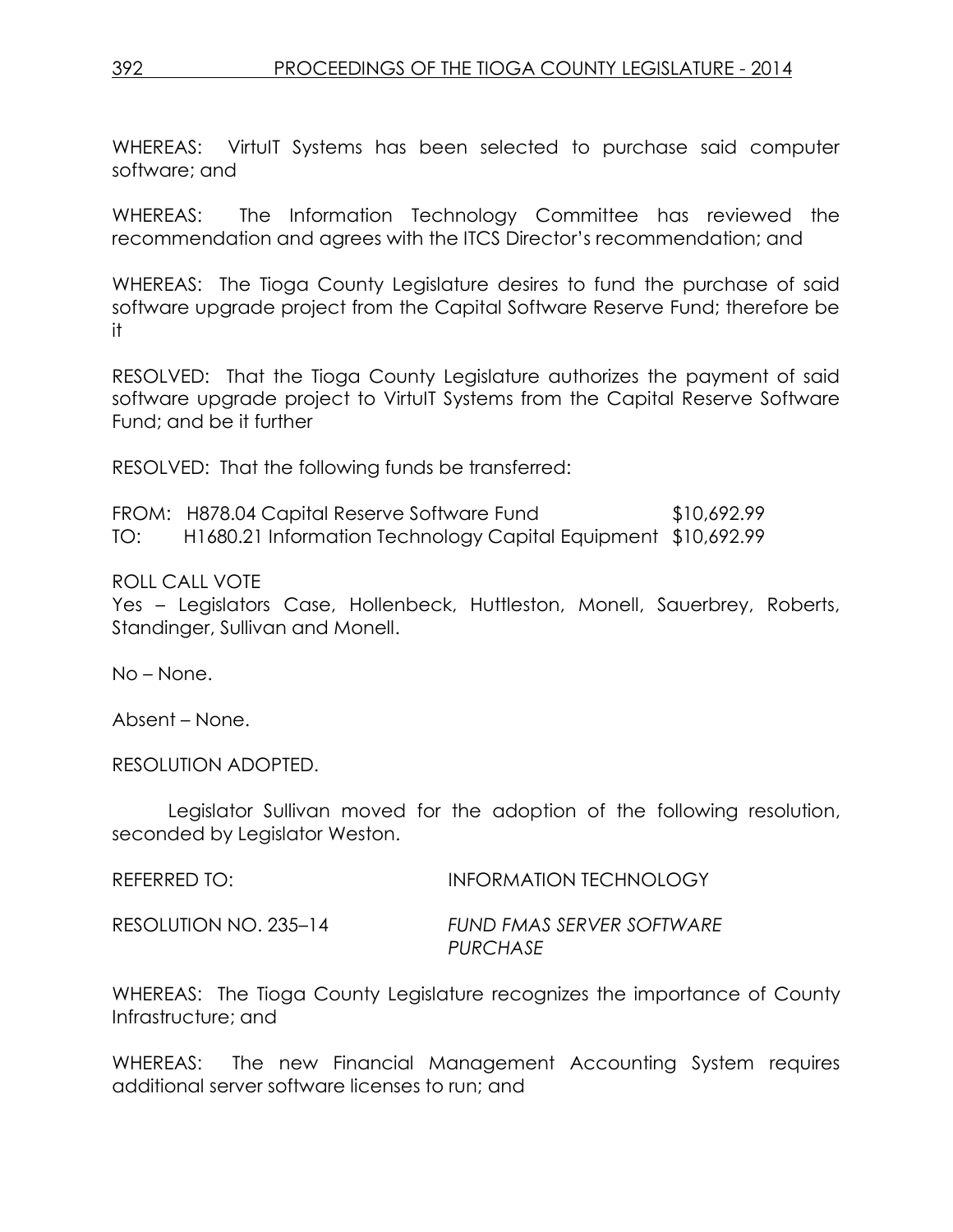WHEREAS: VirtuIT Systems has been selected to purchase said computer software; and

WHEREAS: The Information Technology Committee has reviewed the recommendation and agrees with the ITCS Director's recommendation; and

WHEREAS: The Tioga County Legislature desires to fund the purchase of said software upgrade project from the Capital Software Reserve Fund; therefore be it

RESOLVED: That the Tioga County Legislature authorizes the payment of said software upgrade project to VirtuIT Systems from the Capital Reserve Software Fund; and be it further

RESOLVED: That the following funds be transferred:

FROM: H878.04 Capital Reserve Software Fund \$10,692.99 TO: H1680.21 Information Technology Capital Equipment \$10,692.99

# ROLL CALL VOTE

Yes – Legislators Case, Hollenbeck, Huttleston, Monell, Sauerbrey, Roberts, Standinger, Sullivan and Monell.

No – None.

Absent – None.

RESOLUTION ADOPTED.

Legislator Sullivan moved for the adoption of the following resolution, seconded by Legislator Weston.

REFERRED TO: INFORMATION TECHNOLOGY

RESOLUTION NO. 235–14 *FUND FMAS SERVER SOFTWARE PURCHASE*

WHEREAS: The Tioga County Legislature recognizes the importance of County Infrastructure; and

WHEREAS: The new Financial Management Accounting System requires additional server software licenses to run; and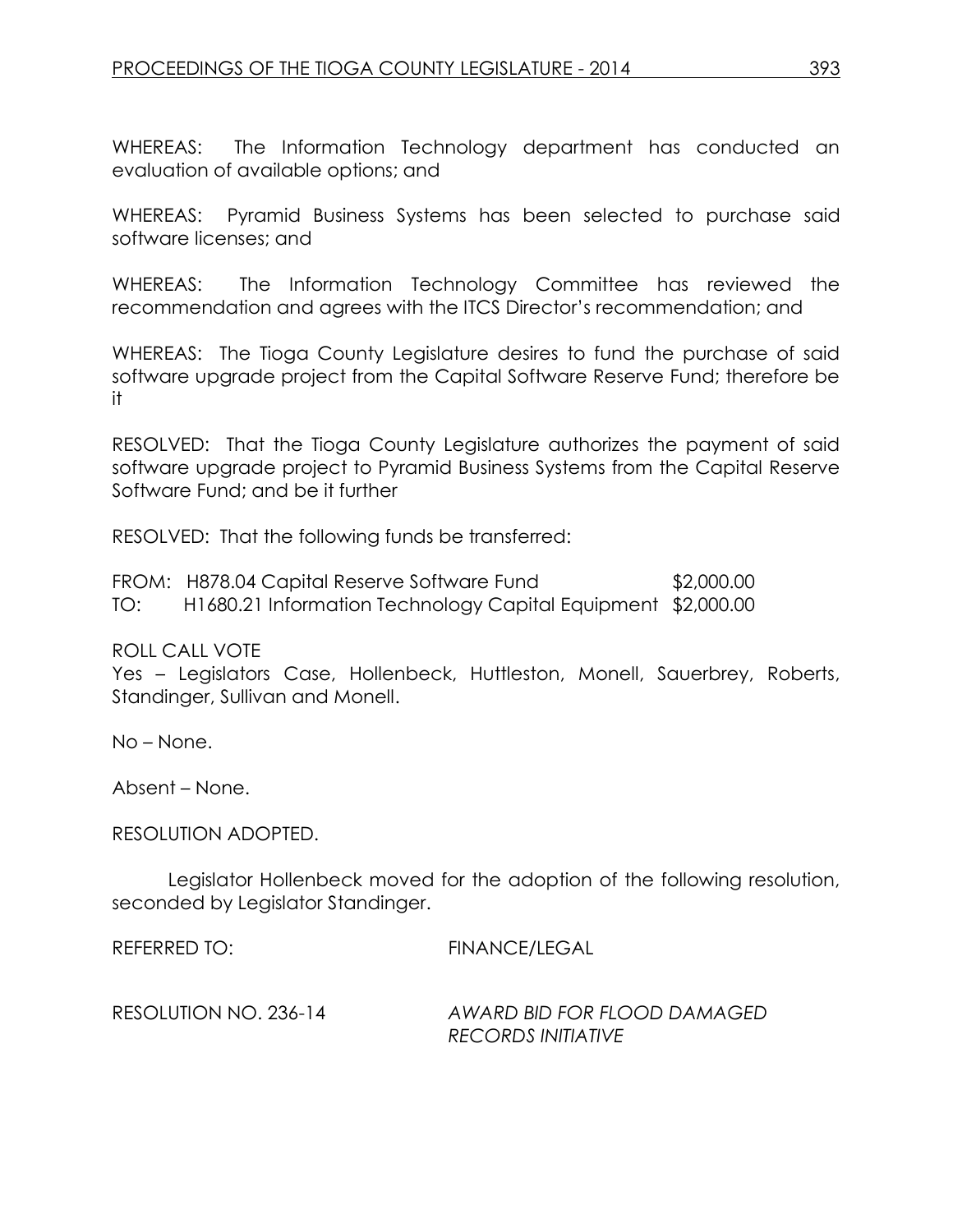WHEREAS: The Information Technology department has conducted an evaluation of available options; and

WHEREAS: Pyramid Business Systems has been selected to purchase said software licenses; and

WHEREAS: The Information Technology Committee has reviewed the recommendation and agrees with the ITCS Director's recommendation; and

WHEREAS: The Tioga County Legislature desires to fund the purchase of said software upgrade project from the Capital Software Reserve Fund; therefore be it

RESOLVED: That the Tioga County Legislature authorizes the payment of said software upgrade project to Pyramid Business Systems from the Capital Reserve Software Fund; and be it further

RESOLVED: That the following funds be transferred:

FROM: H878.04 Capital Reserve Software Fund \$2,000.00 TO: H1680.21 Information Technology Capital Equipment \$2,000.00

ROLL CALL VOTE

Yes – Legislators Case, Hollenbeck, Huttleston, Monell, Sauerbrey, Roberts, Standinger, Sullivan and Monell.

No – None.

Absent – None.

RESOLUTION ADOPTED.

Legislator Hollenbeck moved for the adoption of the following resolution, seconded by Legislator Standinger.

REFERRED TO: FINANCE/LEGAL

RESOLUTION NO. 236-14 *AWARD BID FOR FLOOD DAMAGED RECORDS INITIATIVE*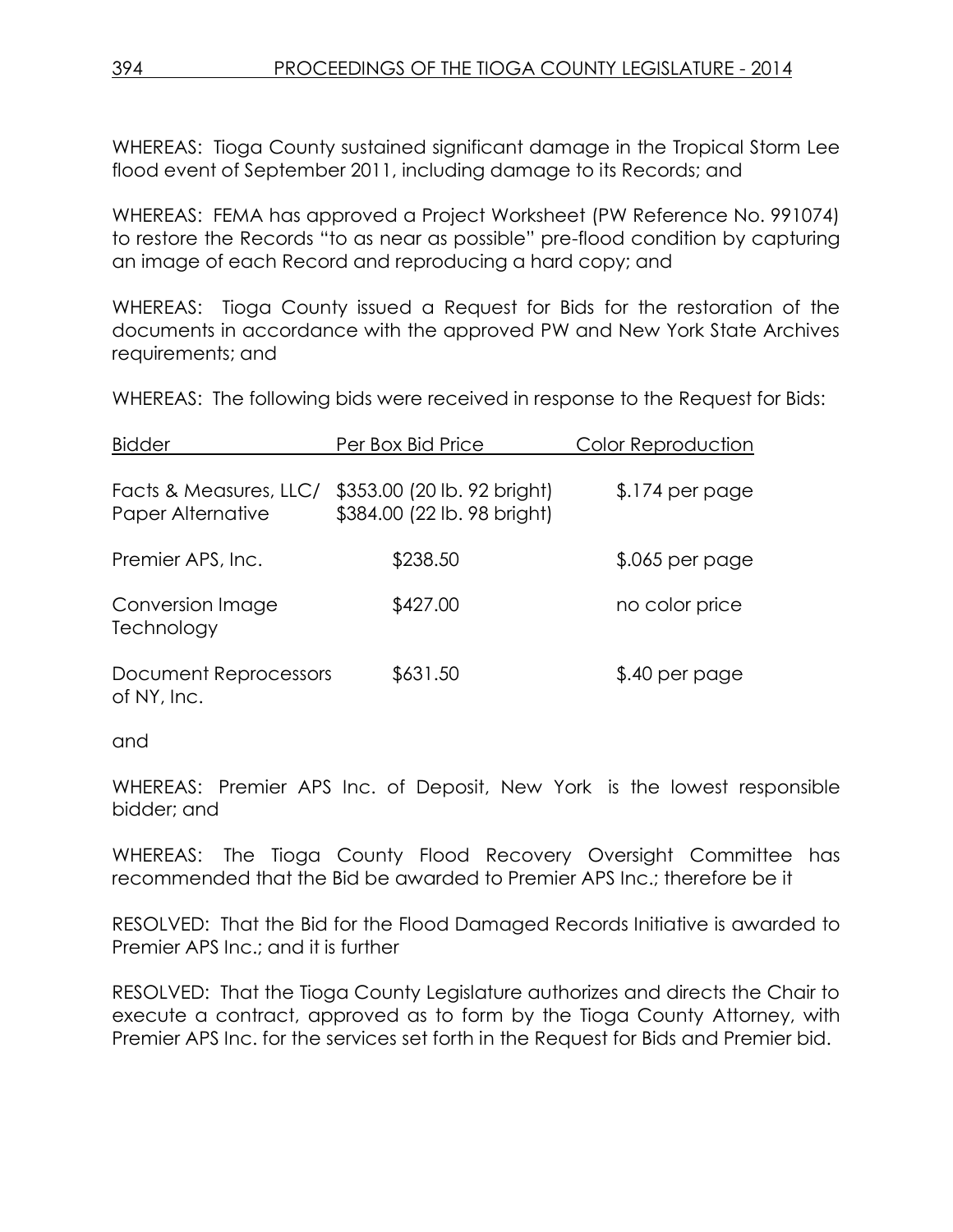WHEREAS: Tioga County sustained significant damage in the Tropical Storm Lee flood event of September 2011, including damage to its Records; and

WHEREAS: FEMA has approved a Project Worksheet (PW Reference No. 991074) to restore the Records "to as near as possible" pre-flood condition by capturing an image of each Record and reproducing a hard copy; and

WHEREAS: Tioga County issued a Request for Bids for the restoration of the documents in accordance with the approved PW and New York State Archives requirements; and

WHEREAS: The following bids were received in response to the Request for Bids:

| <b>Bidder</b>                               | Per Box Bid Price                                          | Color Reproduction |
|---------------------------------------------|------------------------------------------------------------|--------------------|
| Facts & Measures, LLC/<br>Paper Alternative | \$353.00 (20 lb. 92 bright)<br>\$384.00 (22 lb. 98 bright) | $$.174$ per page   |
| Premier APS, Inc.                           | \$238.50                                                   | $$.065$ per page   |
| Conversion Image<br>Technology              | \$427.00                                                   | no color price     |
| Document Reprocessors<br>of NY, Inc.        | \$631.50                                                   | \$.40 per page     |

and

WHEREAS: Premier APS Inc. of Deposit, New York is the lowest responsible bidder; and

WHEREAS: The Tioga County Flood Recovery Oversight Committee has recommended that the Bid be awarded to Premier APS Inc.; therefore be it

RESOLVED: That the Bid for the Flood Damaged Records Initiative is awarded to Premier APS Inc.; and it is further

RESOLVED: That the Tioga County Legislature authorizes and directs the Chair to execute a contract, approved as to form by the Tioga County Attorney, with Premier APS Inc. for the services set forth in the Request for Bids and Premier bid.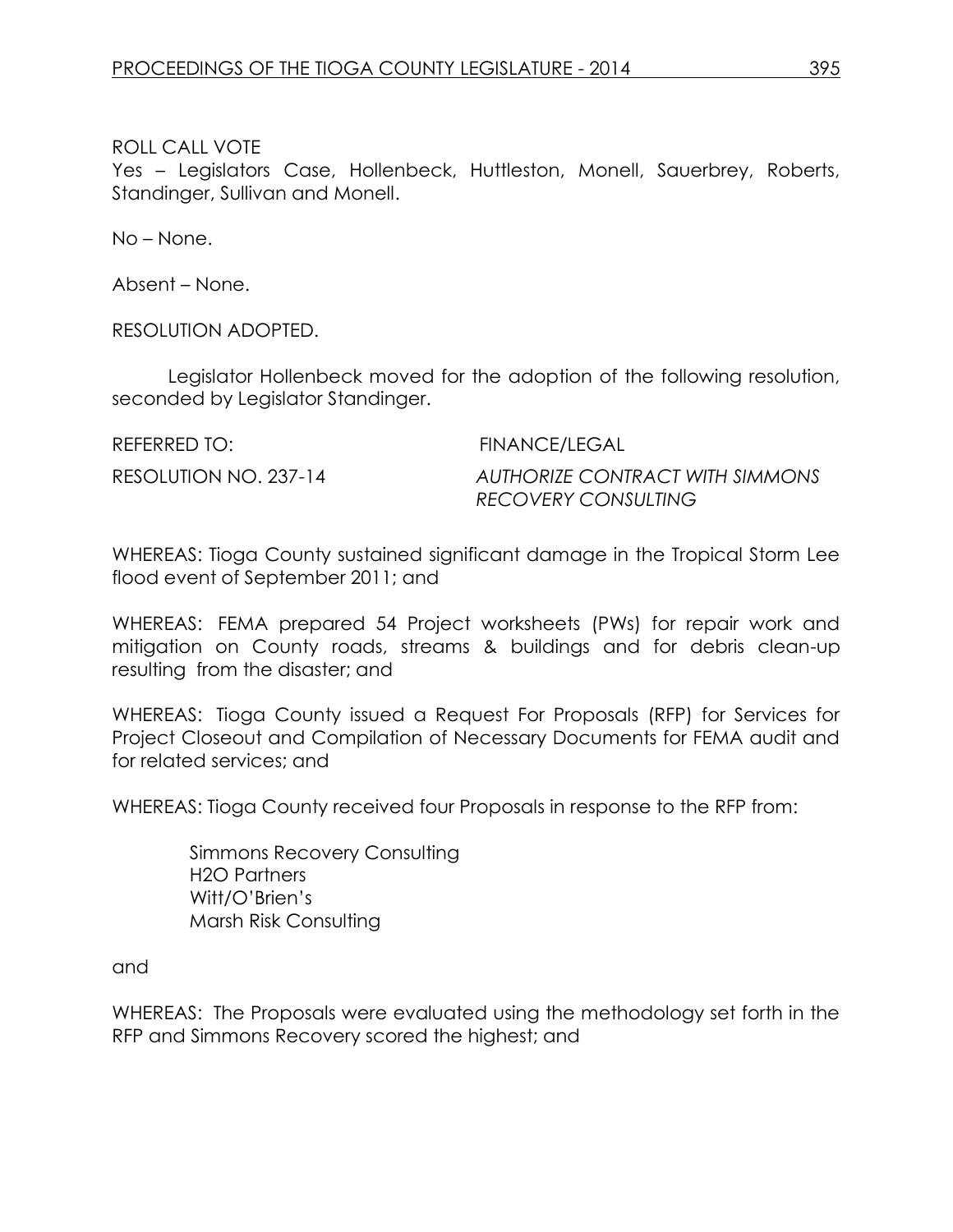Yes – Legislators Case, Hollenbeck, Huttleston, Monell, Sauerbrey, Roberts, Standinger, Sullivan and Monell.

No – None.

Absent – None.

RESOLUTION ADOPTED.

Legislator Hollenbeck moved for the adoption of the following resolution, seconded by Legislator Standinger.

REFERRED TO: FINANCE/LEGAL

RESOLUTION NO. 237-14 *AUTHORIZE CONTRACT WITH SIMMONS RECOVERY CONSULTING*

WHEREAS: Tioga County sustained significant damage in the Tropical Storm Lee flood event of September 2011; and

WHEREAS: FEMA prepared 54 Project worksheets (PWs) for repair work and mitigation on County roads, streams & buildings and for debris clean-up resulting from the disaster; and

WHEREAS: Tioga County issued a Request For Proposals (RFP) for Services for Project Closeout and Compilation of Necessary Documents for FEMA audit and for related services; and

WHEREAS: Tioga County received four Proposals in response to the RFP from:

 Simmons Recovery Consulting H2O Partners Witt/O'Brien's Marsh Risk Consulting

and

WHEREAS: The Proposals were evaluated using the methodology set forth in the RFP and Simmons Recovery scored the highest; and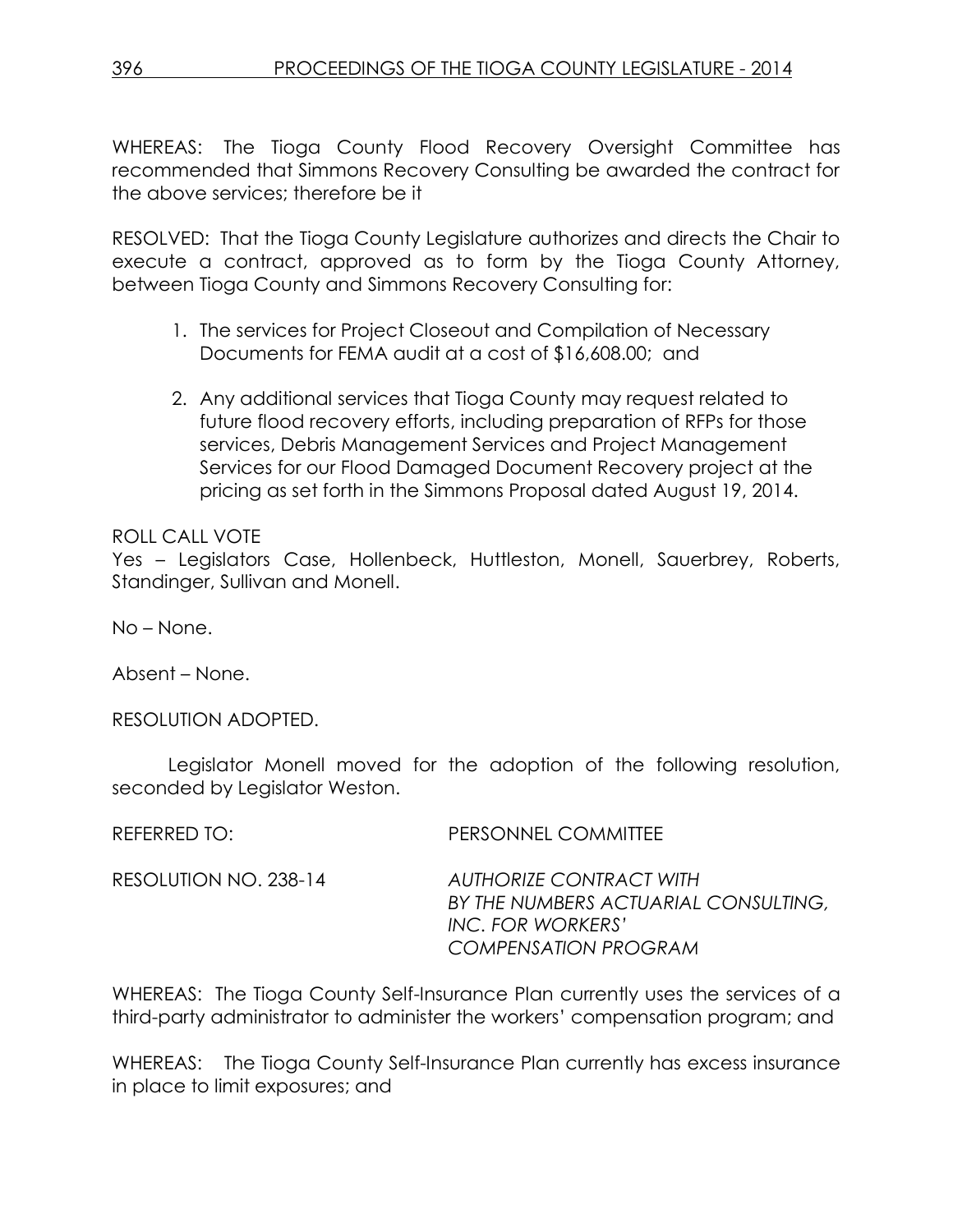WHEREAS: The Tioga County Flood Recovery Oversight Committee has recommended that Simmons Recovery Consulting be awarded the contract for the above services; therefore be it

RESOLVED: That the Tioga County Legislature authorizes and directs the Chair to execute a contract, approved as to form by the Tioga County Attorney, between Tioga County and Simmons Recovery Consulting for:

- 1. The services for Project Closeout and Compilation of Necessary Documents for FEMA audit at a cost of \$16,608.00; and
- 2. Any additional services that Tioga County may request related to future flood recovery efforts, including preparation of RFPs for those services, Debris Management Services and Project Management Services for our Flood Damaged Document Recovery project at the pricing as set forth in the Simmons Proposal dated August 19, 2014.

# ROLL CALL VOTE

Yes – Legislators Case, Hollenbeck, Huttleston, Monell, Sauerbrey, Roberts, Standinger, Sullivan and Monell.

No – None.

Absent – None.

RESOLUTION ADOPTED.

Legislator Monell moved for the adoption of the following resolution, seconded by Legislator Weston.

| REFERRED TO:          | PERSONNEL COMMITTEE                                                                                                        |
|-----------------------|----------------------------------------------------------------------------------------------------------------------------|
| RESOLUTION NO. 238-14 | <b>AUTHORIZE CONTRACT WITH</b><br>BY THE NUMBERS ACTUARIAL CONSULTING,<br>INC. FOR WORKERS'<br><b>COMPENSATION PROGRAM</b> |

WHEREAS: The Tioga County Self-Insurance Plan currently uses the services of a third-party administrator to administer the workers' compensation program; and

WHEREAS: The Tioga County Self-Insurance Plan currently has excess insurance in place to limit exposures; and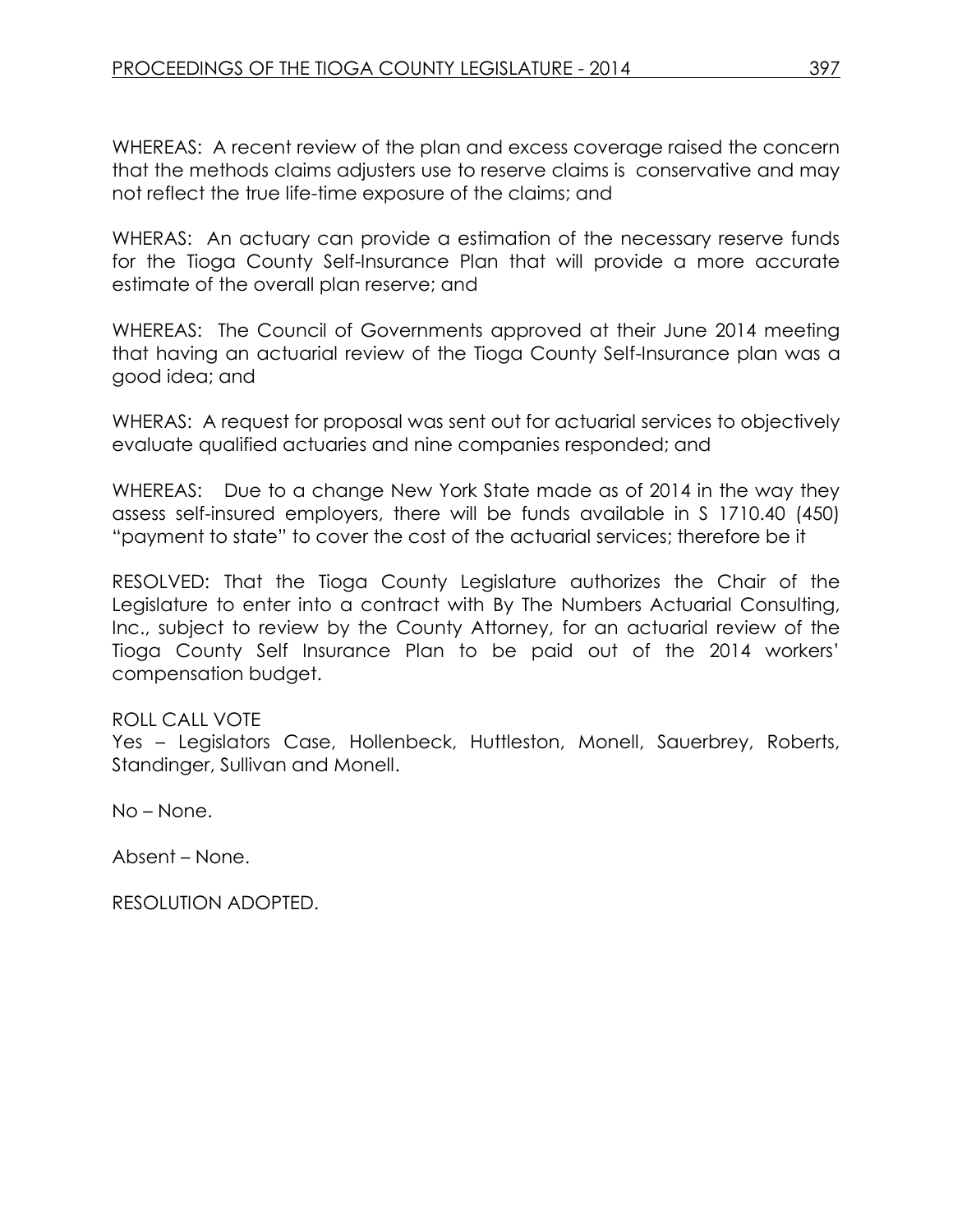WHEREAS: A recent review of the plan and excess coverage raised the concern that the methods claims adjusters use to reserve claims is conservative and may not reflect the true life-time exposure of the claims; and

WHERAS: An actuary can provide a estimation of the necessary reserve funds for the Tioga County Self-Insurance Plan that will provide a more accurate estimate of the overall plan reserve; and

WHEREAS: The Council of Governments approved at their June 2014 meeting that having an actuarial review of the Tioga County Self-Insurance plan was a good idea; and

WHERAS: A request for proposal was sent out for actuarial services to objectively evaluate qualified actuaries and nine companies responded; and

WHEREAS: Due to a change New York State made as of 2014 in the way they assess self-insured employers, there will be funds available in S 1710.40 (450) "payment to state" to cover the cost of the actuarial services; therefore be it

RESOLVED: That the Tioga County Legislature authorizes the Chair of the Legislature to enter into a contract with By The Numbers Actuarial Consulting, Inc., subject to review by the County Attorney, for an actuarial review of the Tioga County Self Insurance Plan to be paid out of the 2014 workers' compensation budget.

# ROLL CALL VOTE

Yes – Legislators Case, Hollenbeck, Huttleston, Monell, Sauerbrey, Roberts, Standinger, Sullivan and Monell.

No – None.

Absent – None.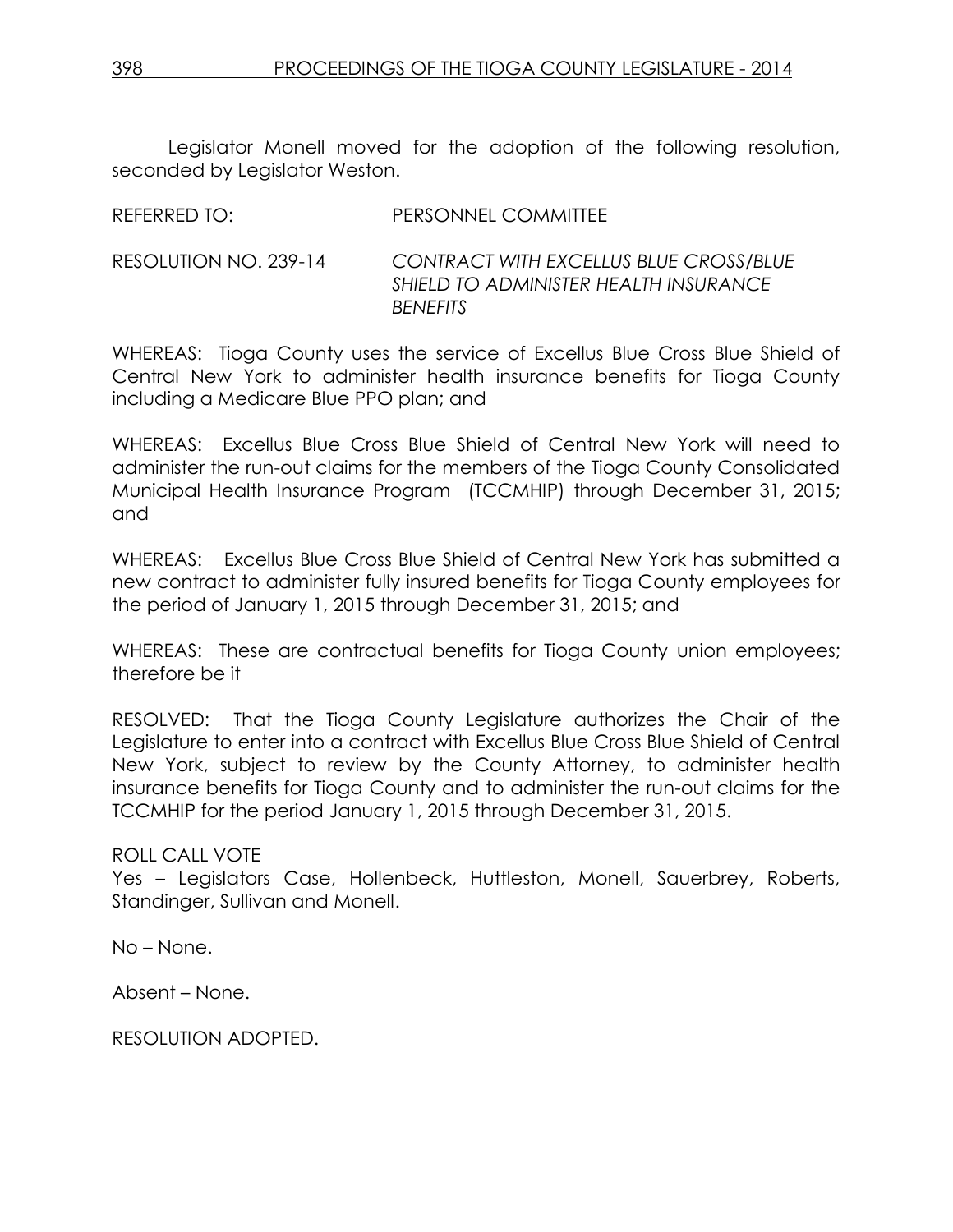Legislator Monell moved for the adoption of the following resolution, seconded by Legislator Weston.

| $\overline{\phantom{a}}$ | <u>I LIVUVI 11 1 LE VUITILITELE</u>                                                                       |
|--------------------------|-----------------------------------------------------------------------------------------------------------|
| RESOLUTION NO. 239-14    | <b>CONTRACT WITH EXCELLUS BLUE CROSS/BLUE</b><br>SHIELD TO ADMINISTER HEALTH INSURANCE<br><b>BENEFITS</b> |
|                          |                                                                                                           |

REFERRED TO: PERSONNEL COMMITTEE

WHEREAS: Tioga County uses the service of Excellus Blue Cross Blue Shield of Central New York to administer health insurance benefits for Tioga County including a Medicare Blue PPO plan; and

WHEREAS: Excellus Blue Cross Blue Shield of Central New York will need to administer the run-out claims for the members of the Tioga County Consolidated Municipal Health Insurance Program (TCCMHIP) through December 31, 2015; and

WHEREAS: Excellus Blue Cross Blue Shield of Central New York has submitted a new contract to administer fully insured benefits for Tioga County employees for the period of January 1, 2015 through December 31, 2015; and

WHEREAS: These are contractual benefits for Tioga County union employees; therefore be it

RESOLVED: That the Tioga County Legislature authorizes the Chair of the Legislature to enter into a contract with Excellus Blue Cross Blue Shield of Central New York, subject to review by the County Attorney, to administer health insurance benefits for Tioga County and to administer the run-out claims for the TCCMHIP for the period January 1, 2015 through December 31, 2015.

ROLL CALL VOTE

Yes – Legislators Case, Hollenbeck, Huttleston, Monell, Sauerbrey, Roberts, Standinger, Sullivan and Monell.

No – None.

Absent – None.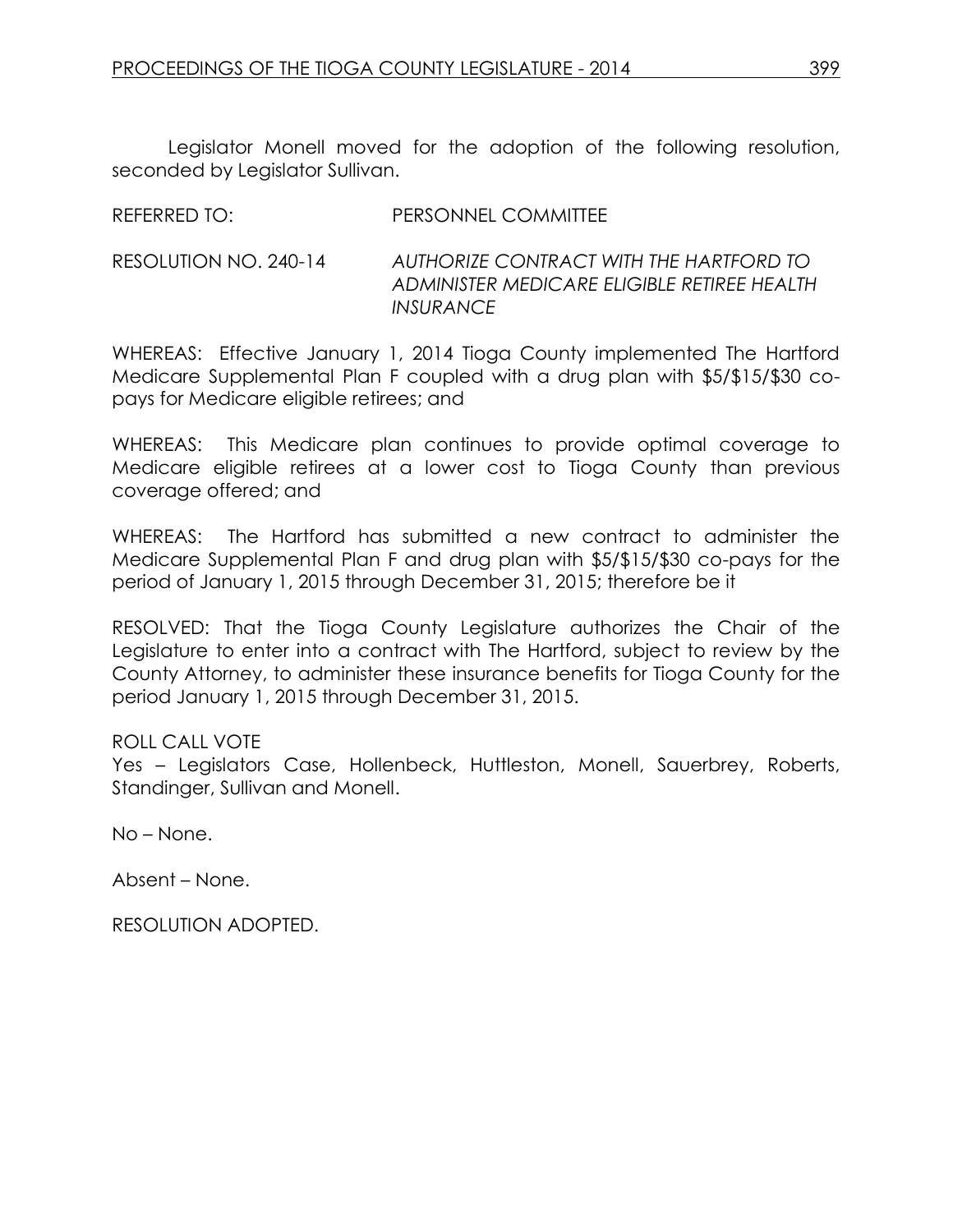REFERRED TO: PERSONNEL COMMITTEE

Legislator Monell moved for the adoption of the following resolution, seconded by Legislator Sullivan.

| RESOLUTION NO. 240-14<br><i><b>INSURANCE</b></i> |                                                                                        |
|--------------------------------------------------|----------------------------------------------------------------------------------------|
|                                                  | AUTHORIZE CONTRACT WITH THE HARTFORD TO<br>ADMINISTER MEDICARE ELIGIBLE RETIREE HEALTH |

WHEREAS: Effective January 1, 2014 Tioga County implemented The Hartford Medicare Supplemental Plan F coupled with a drug plan with \$5/\$15/\$30 copays for Medicare eligible retirees; and

WHEREAS: This Medicare plan continues to provide optimal coverage to Medicare eligible retirees at a lower cost to Tioga County than previous coverage offered; and

WHEREAS: The Hartford has submitted a new contract to administer the Medicare Supplemental Plan F and drug plan with \$5/\$15/\$30 co-pays for the period of January 1, 2015 through December 31, 2015; therefore be it

RESOLVED: That the Tioga County Legislature authorizes the Chair of the Legislature to enter into a contract with The Hartford, subject to review by the County Attorney, to administer these insurance benefits for Tioga County for the period January 1, 2015 through December 31, 2015.

#### ROLL CALL VOTE

Yes – Legislators Case, Hollenbeck, Huttleston, Monell, Sauerbrey, Roberts, Standinger, Sullivan and Monell.

No – None.

Absent – None.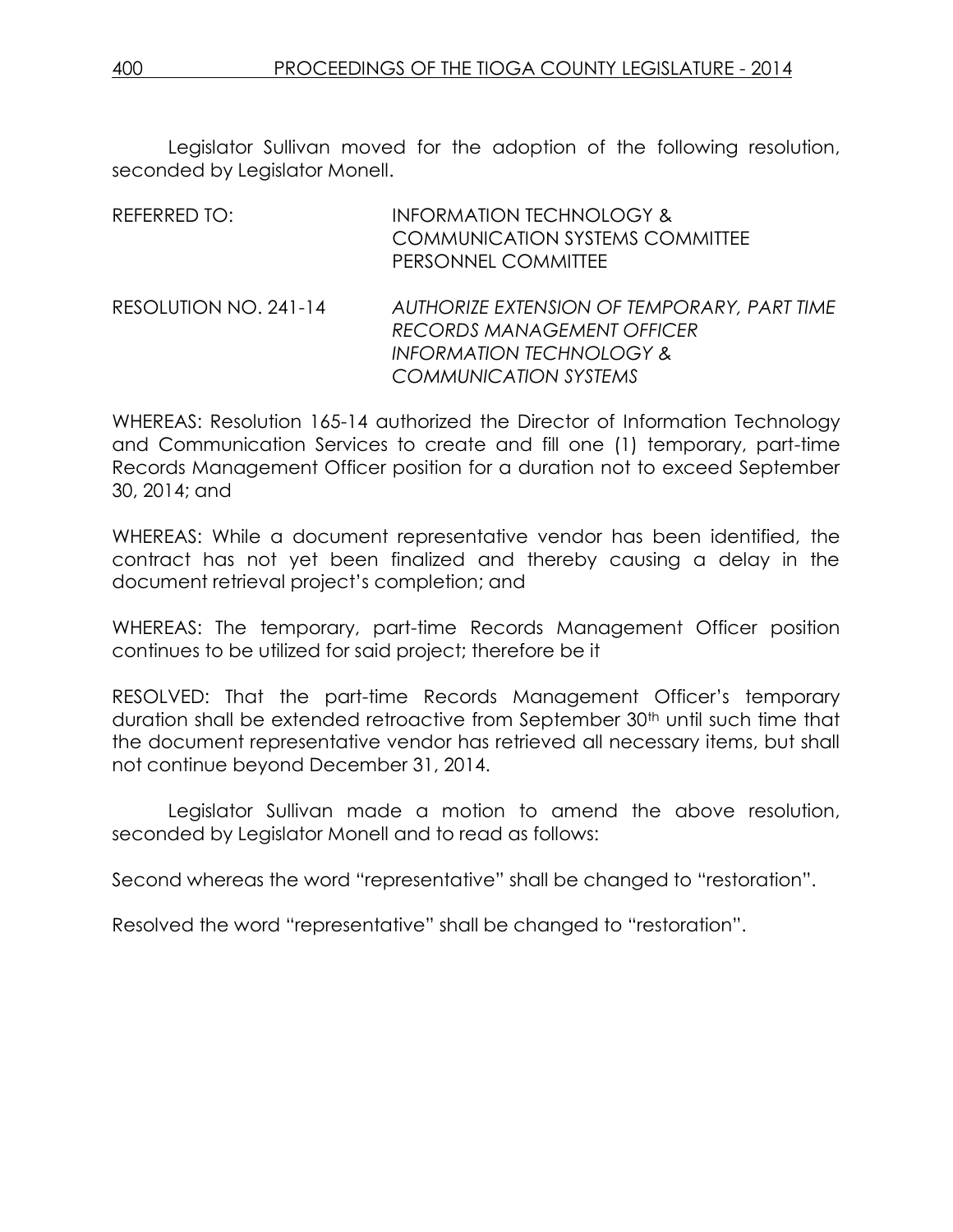Legislator Sullivan moved for the adoption of the following resolution, seconded by Legislator Monell.

| REFERRED TO:          | <b>INFORMATION TECHNOLOGY &amp;</b><br><b>COMMUNICATION SYSTEMS COMMITTEE</b><br>PERSONNEL COMMITTEE                                                    |
|-----------------------|---------------------------------------------------------------------------------------------------------------------------------------------------------|
| RESOLUTION NO. 241-14 | AUTHORIZE EXTENSION OF TEMPORARY, PART TIME<br><b>RECORDS MANAGEMENT OFFICER</b><br><b>INFORMATION TECHNOLOGY &amp;</b><br><b>COMMUNICATION SYSTEMS</b> |

WHEREAS: Resolution 165-14 authorized the Director of Information Technology and Communication Services to create and fill one (1) temporary, part-time Records Management Officer position for a duration not to exceed September 30, 2014; and

WHEREAS: While a document representative vendor has been identified, the contract has not yet been finalized and thereby causing a delay in the document retrieval project's completion; and

WHEREAS: The temporary, part-time Records Management Officer position continues to be utilized for said project; therefore be it

RESOLVED: That the part-time Records Management Officer's temporary duration shall be extended retroactive from September 30th until such time that the document representative vendor has retrieved all necessary items, but shall not continue beyond December 31, 2014.

Legislator Sullivan made a motion to amend the above resolution, seconded by Legislator Monell and to read as follows:

Second whereas the word "representative" shall be changed to "restoration".

Resolved the word "representative" shall be changed to "restoration".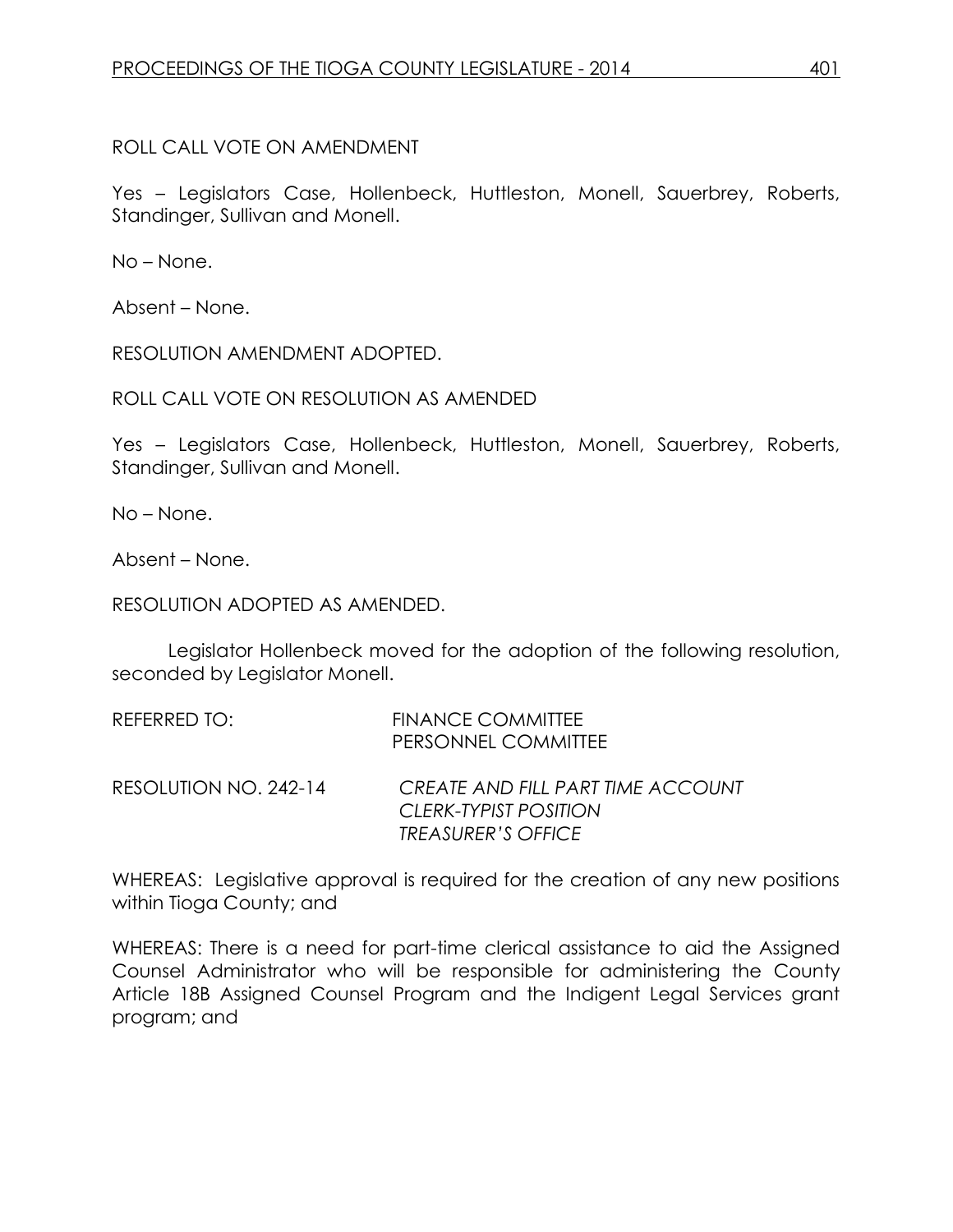ROLL CALL VOTE ON AMENDMENT

Yes – Legislators Case, Hollenbeck, Huttleston, Monell, Sauerbrey, Roberts, Standinger, Sullivan and Monell.

No – None.

Absent – None.

RESOLUTION AMENDMENT ADOPTED.

ROLL CALL VOTE ON RESOLUTION AS AMENDED

Yes – Legislators Case, Hollenbeck, Huttleston, Monell, Sauerbrey, Roberts, Standinger, Sullivan and Monell.

No – None.

Absent – None.

RESOLUTION ADOPTED AS AMENDED.

Legislator Hollenbeck moved for the adoption of the following resolution, seconded by Legislator Monell.

| REFERRED TO:          | <b>FINANCE COMMITTEE</b><br>PERSONNEL COMMITTEE                                         |
|-----------------------|-----------------------------------------------------------------------------------------|
| RESOLUTION NO. 242-14 | CREATE AND FILL PART TIME ACCOUNT<br>CLERK-TYPIST POSITION<br><b>TREASURER'S OFFICE</b> |

WHEREAS: Legislative approval is required for the creation of any new positions within Tioga County; and

WHEREAS: There is a need for part-time clerical assistance to aid the Assigned Counsel Administrator who will be responsible for administering the County Article 18B Assigned Counsel Program and the Indigent Legal Services grant program; and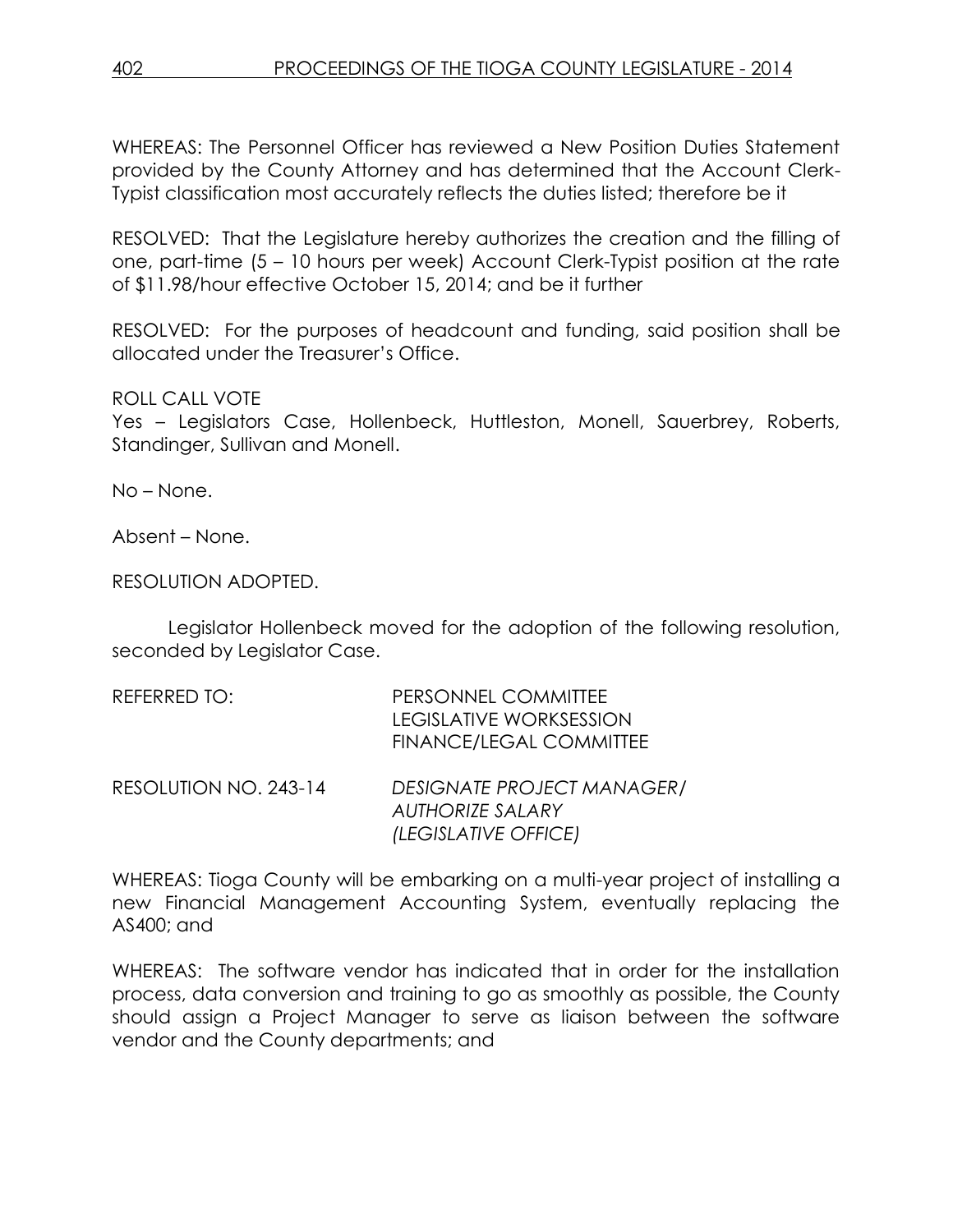WHEREAS: The Personnel Officer has reviewed a New Position Duties Statement provided by the County Attorney and has determined that the Account Clerk-Typist classification most accurately reflects the duties listed; therefore be it

RESOLVED: That the Legislature hereby authorizes the creation and the filling of one, part-time (5 – 10 hours per week) Account Clerk-Typist position at the rate of \$11.98/hour effective October 15, 2014; and be it further

RESOLVED: For the purposes of headcount and funding, said position shall be allocated under the Treasurer's Office.

ROLL CALL VOTE

Yes – Legislators Case, Hollenbeck, Huttleston, Monell, Sauerbrey, Roberts, Standinger, Sullivan and Monell.

No – None.

Absent – None.

RESOLUTION ADOPTED.

Legislator Hollenbeck moved for the adoption of the following resolution, seconded by Legislator Case.

| REFERRED TO:          | PERSONNEL COMMITTEE<br><b>LEGISLATIVE WORKSESSION</b><br><b>FINANCE/LEGAL COMMITTEE</b> |
|-----------------------|-----------------------------------------------------------------------------------------|
| RESOLUTION NO. 243-14 | <b>DESIGNATE PROJECT MANAGER/</b><br><b>AUTHORIZE SALARY</b><br>(LEGISLATIVE OFFICE)    |

WHEREAS: Tioga County will be embarking on a multi-year project of installing a new Financial Management Accounting System, eventually replacing the AS400; and

WHEREAS: The software vendor has indicated that in order for the installation process, data conversion and training to go as smoothly as possible, the County should assign a Project Manager to serve as liaison between the software vendor and the County departments; and